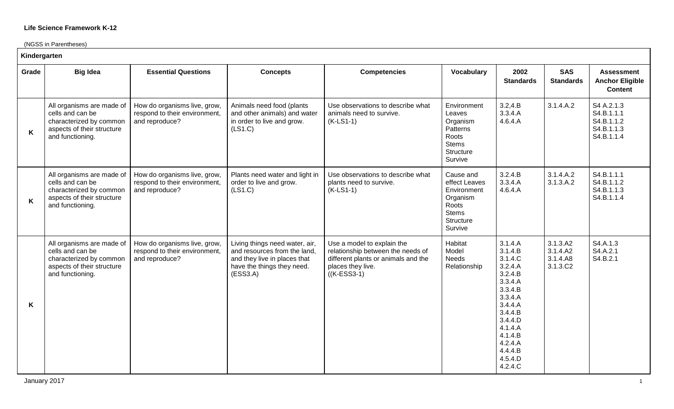(NGSS in Parentheses)

|       | Kindergarten                                                                                                               |                                                                                 |                                                                                                                                          |                                                                                                                                               |                                                                                                        |                                                                                                                                                                                         |                                              |                                                                    |  |  |  |
|-------|----------------------------------------------------------------------------------------------------------------------------|---------------------------------------------------------------------------------|------------------------------------------------------------------------------------------------------------------------------------------|-----------------------------------------------------------------------------------------------------------------------------------------------|--------------------------------------------------------------------------------------------------------|-----------------------------------------------------------------------------------------------------------------------------------------------------------------------------------------|----------------------------------------------|--------------------------------------------------------------------|--|--|--|
| Grade | <b>Big Idea</b>                                                                                                            | <b>Essential Questions</b>                                                      | <b>Concepts</b>                                                                                                                          | <b>Competencies</b>                                                                                                                           | <b>Vocabulary</b>                                                                                      | 2002<br><b>Standards</b>                                                                                                                                                                | <b>SAS</b><br><b>Standards</b>               | <b>Assessment</b><br><b>Anchor Eligible</b><br><b>Content</b>      |  |  |  |
| K     | All organisms are made of<br>cells and can be<br>characterized by common<br>aspects of their structure<br>and functioning. | How do organisms live, grow,<br>respond to their environment,<br>and reproduce? | Animals need food (plants<br>and other animals) and water<br>in order to live and grow.<br>(LS1.C)                                       | Use observations to describe what<br>animals need to survive.<br>$(K-LS1-1)$                                                                  | Environment<br>Leaves<br>Organism<br>Patterns<br>Roots<br><b>Stems</b><br>Structure<br>Survive         | 3.2, 4.B<br>3.3.4.A<br>4.6.4.A                                                                                                                                                          | 3.1.4.A.2                                    | S4 A.2.1.3<br>S4.B.1.1.1<br>S4.B.1.1.2<br>S4.B.1.1.3<br>S4.B.1.1.4 |  |  |  |
| K     | All organisms are made of<br>cells and can be<br>characterized by common<br>aspects of their structure<br>and functioning. | How do organisms live, grow,<br>respond to their environment,<br>and reproduce? | Plants need water and light in<br>order to live and grow.<br>(LS1.C)                                                                     | Use observations to describe what<br>plants need to survive.<br>$(K-LS1-1)$                                                                   | Cause and<br>effect Leaves<br>Environment<br>Organism<br>Roots<br><b>Stems</b><br>Structure<br>Survive | 3.2.4.B<br>3.3.4.A<br>4.6.4.A                                                                                                                                                           | 3.1.4.A.2<br>3.1.3.A.2                       | S4.B.1.1.1<br>S4.B.1.1.2<br>S4.B.1.1.3<br>S4.B.1.1.4               |  |  |  |
| K     | All organisms are made of<br>cells and can be<br>characterized by common<br>aspects of their structure<br>and functioning. | How do organisms live, grow,<br>respond to their environment,<br>and reproduce? | Living things need water, air,<br>and resources from the land,<br>and they live in places that<br>have the things they need.<br>(ESS3.A) | Use a model to explain the<br>relationship between the needs of<br>different plants or animals and the<br>places they live.<br>$((K-ESS3-1))$ | Habitat<br>Model<br><b>Needs</b><br>Relationship                                                       | 3.1.4.A<br>3.1.4.B<br>3.1.4.C<br>3.2.4.A<br>3.2.4.B<br>3.3.4.A<br>3.3.4.B<br>3.3.4.A<br>3.4.4.A<br>3.4.4.B<br>3.4.4.D<br>4.1.4.A<br>4.1.4.B<br>4.2.4.A<br>4.4.4.B<br>4.5.4.D<br>4.2.4.C | 3.1.3.A2<br>3.1.4.A2<br>3.1.4.A8<br>3.1.3.C2 | S4.A.1.3<br>S4.A.2.1<br>S4.B.2.1                                   |  |  |  |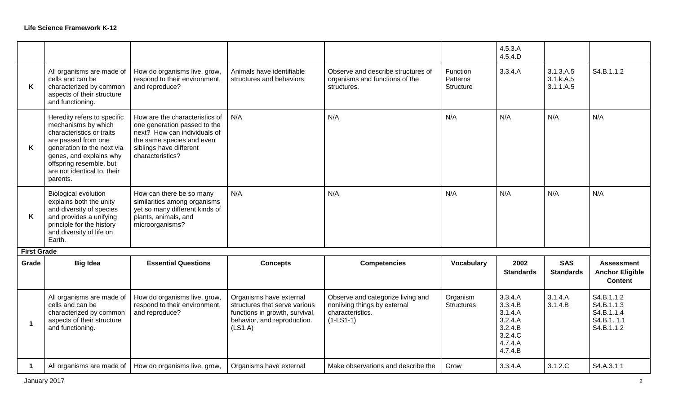|                         |                                                                                                                                                                                                                                       |                                                                                                                                                                            |                                                                                                                                      |                                                                                                      |                                   | 4.5.3.A<br>4.5.4.D                                                                   |                                     |                                                                    |
|-------------------------|---------------------------------------------------------------------------------------------------------------------------------------------------------------------------------------------------------------------------------------|----------------------------------------------------------------------------------------------------------------------------------------------------------------------------|--------------------------------------------------------------------------------------------------------------------------------------|------------------------------------------------------------------------------------------------------|-----------------------------------|--------------------------------------------------------------------------------------|-------------------------------------|--------------------------------------------------------------------|
| K                       | All organisms are made of<br>cells and can be<br>characterized by common<br>aspects of their structure<br>and functioning.                                                                                                            | How do organisms live, grow,<br>respond to their environment,<br>and reproduce?                                                                                            | Animals have identifiable<br>structures and behaviors.                                                                               | Observe and describe structures of<br>organisms and functions of the<br>structures.                  | Function<br>Patterns<br>Structure | 3.3.4.A                                                                              | 3.1.3.A.5<br>3.1.k.A.5<br>3.1.1.A.5 | S4.B.1.1.2                                                         |
| K                       | Heredity refers to specific<br>mechanisms by which<br>characteristics or traits<br>are passed from one<br>generation to the next via<br>genes, and explains why<br>offspring resemble, but<br>are not identical to, their<br>parents. | How are the characteristics of<br>one generation passed to the<br>next? How can individuals of<br>the same species and even<br>siblings have different<br>characteristics? | N/A                                                                                                                                  | N/A                                                                                                  | N/A                               | N/A                                                                                  | N/A                                 | N/A                                                                |
| K                       | <b>Biological evolution</b><br>explains both the unity<br>and diversity of species<br>and provides a unifying<br>principle for the history<br>and diversity of life on<br>Earth.                                                      | How can there be so many<br>similarities among organisms<br>yet so many different kinds of<br>plants, animals, and<br>microorganisms?                                      | N/A                                                                                                                                  | N/A                                                                                                  | N/A                               | N/A                                                                                  | N/A                                 | N/A                                                                |
| <b>First Grade</b>      |                                                                                                                                                                                                                                       |                                                                                                                                                                            |                                                                                                                                      |                                                                                                      |                                   |                                                                                      |                                     |                                                                    |
| Grade                   | <b>Big Idea</b>                                                                                                                                                                                                                       | <b>Essential Questions</b>                                                                                                                                                 | <b>Concepts</b>                                                                                                                      | <b>Competencies</b>                                                                                  | Vocabulary                        | 2002<br><b>Standards</b>                                                             | <b>SAS</b><br><b>Standards</b>      | <b>Assessment</b><br><b>Anchor Eligible</b><br><b>Content</b>      |
| $\overline{\mathbf{1}}$ | All organisms are made of<br>cells and can be<br>characterized by common<br>aspects of their structure<br>and functioning.                                                                                                            | How do organisms live, grow,<br>respond to their environment,<br>and reproduce?                                                                                            | Organisms have external<br>structures that serve various<br>functions in growth, survival,<br>behavior, and reproduction.<br>(LS1.A) | Observe and categorize living and<br>nonliving things by external<br>characteristics.<br>$(1-LS1-1)$ | Organism<br><b>Structures</b>     | 3.3.4.A<br>3.3.4.B<br>3.1.4.A<br>3.2.4.A<br>3.2.4.B<br>3.2.4.C<br>4.7.4.A<br>4.7.4.B | 3.1.4.A<br>3.1.4.B                  | S4.B.1.1.2<br>S4.B.1.1.3<br>S4.B.1.1.4<br>S4.B.1.1.1<br>S4.B.1.1.2 |
| -1                      | All organisms are made of                                                                                                                                                                                                             | How do organisms live, grow,                                                                                                                                               | Organisms have external                                                                                                              | Make observations and describe the                                                                   | Grow                              | 3.3.4.A                                                                              | 3.1.2.C                             | S4.A.3.1.1                                                         |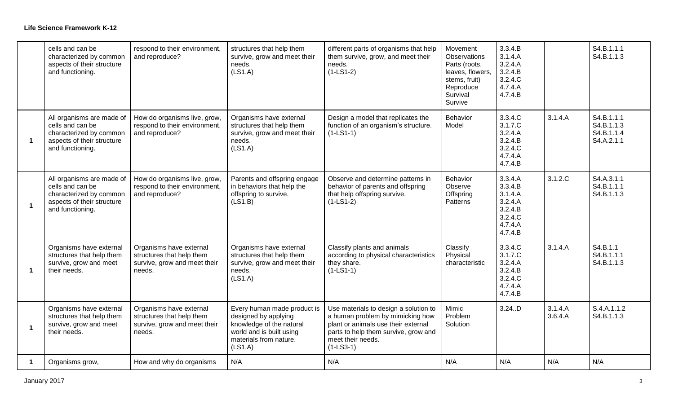|                      | cells and can be<br>characterized by common<br>aspects of their structure<br>and functioning.                              | respond to their environment,<br>and reproduce?                                                | structures that help them<br>survive, grow and meet their<br>needs.<br>(LS1.A)                                                                   | different parts of organisms that help<br>them survive, grow, and meet their<br>needs.<br>$(1-LS1-2)$                                                                                        | Movement<br>Observations<br>Parts (roots,<br>leaves, flowers,<br>stems, fruit)<br>Reproduce<br>Survival<br>Survive | 3.3.4.B<br>3.1.4.A<br>3.2.4.A<br>3.2.4.B<br>3.2.4.C<br>4.7.4.A<br>4.7.4.B            |                    | S4.B.1.1.1<br>S4.B.1.1.3                             |
|----------------------|----------------------------------------------------------------------------------------------------------------------------|------------------------------------------------------------------------------------------------|--------------------------------------------------------------------------------------------------------------------------------------------------|----------------------------------------------------------------------------------------------------------------------------------------------------------------------------------------------|--------------------------------------------------------------------------------------------------------------------|--------------------------------------------------------------------------------------|--------------------|------------------------------------------------------|
| $\blacktriangleleft$ | All organisms are made of<br>cells and can be<br>characterized by common<br>aspects of their structure<br>and functioning. | How do organisms live, grow,<br>respond to their environment,<br>and reproduce?                | Organisms have external<br>structures that help them<br>survive, grow and meet their<br>needs.<br>(LS1.A)                                        | Design a model that replicates the<br>function of an organism's structure.<br>$(1-LS1-1)$                                                                                                    | Behavior<br>Model                                                                                                  | 3.3.4.C<br>3.1.7.C<br>3.2.4.A<br>3.2.4.B<br>3.2.4.C<br>4.7.4.A<br>4.7.4.B            | 3.1.4.A            | S4.B.1.1.1<br>S4.B.1.1.3<br>S4.B.1.1.4<br>S4.A.2.1.1 |
| $\blacktriangleleft$ | All organisms are made of<br>cells and can be<br>characterized by common<br>aspects of their structure<br>and functioning. | How do organisms live, grow,<br>respond to their environment,<br>and reproduce?                | Parents and offspring engage<br>in behaviors that help the<br>offspring to survive.<br>(LS1.B)                                                   | Observe and determine patterns in<br>behavior of parents and offspring<br>that help offspring survive.<br>$(1-LS1-2)$                                                                        | Behavior<br>Observe<br>Offspring<br>Patterns                                                                       | 3.3.4.A<br>3.3.4.B<br>3.1.4.A<br>3.2.4.A<br>3.2.4.B<br>3.2.4.C<br>4.7.4.A<br>4.7.4.B | 3.1.2.C            | S4.A.3.1.1<br>S4.B.1.1.1<br>S4.B.1.1.3               |
| -1                   | Organisms have external<br>structures that help them<br>survive, grow and meet<br>their needs.                             | Organisms have external<br>structures that help them<br>survive, grow and meet their<br>needs. | Organisms have external<br>structures that help them<br>survive, grow and meet their<br>needs.<br>(LS1.A)                                        | Classify plants and animals<br>according to physical characteristics<br>they share.<br>$(1-LS1-1)$                                                                                           | Classify<br>Physical<br>characteristic                                                                             | 3.3.4.C<br>3.1.7.C<br>3.2.4.A<br>3.2.4.B<br>3.2.4.C<br>4.7.4.A<br>4.7.4.B            | 3.1.4.A            | S4.B.1.1<br>S4.B.1.1.1<br>S4.B.1.1.3                 |
| 1                    | Organisms have external<br>structures that help them<br>survive, grow and meet<br>their needs.                             | Organisms have external<br>structures that help them<br>survive, grow and meet their<br>needs. | Every human made product is<br>designed by applying<br>knowledge of the natural<br>world and is built using<br>materials from nature.<br>(LS1.A) | Use materials to design a solution to<br>a human problem by mimicking how<br>plant or animals use their external<br>parts to help them survive, grow and<br>meet their needs.<br>$(1-LS3-1)$ | Mimic<br>Problem<br>Solution                                                                                       | $3.24.$ D                                                                            | 3.1.4.A<br>3.6.4.A | S.4.A.1.1.2<br>S4.B.1.1.3                            |
|                      | Organisms grow,                                                                                                            | How and why do organisms                                                                       | N/A                                                                                                                                              | N/A                                                                                                                                                                                          | N/A                                                                                                                | N/A                                                                                  | N/A                | N/A                                                  |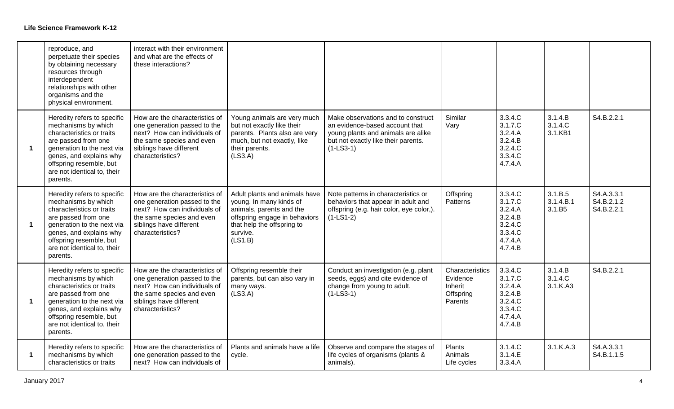|                      | reproduce, and<br>perpetuate their species<br>by obtaining necessary<br>resources through<br>interdependent<br>relationships with other<br>organisms and the<br>physical environment.                                                 | interact with their environment<br>and what are the effects of<br>these interactions?                                                                                      |                                                                                                                                                                            |                                                                                                                                                                  |                                                                |                                                                                      |                                |                                        |
|----------------------|---------------------------------------------------------------------------------------------------------------------------------------------------------------------------------------------------------------------------------------|----------------------------------------------------------------------------------------------------------------------------------------------------------------------------|----------------------------------------------------------------------------------------------------------------------------------------------------------------------------|------------------------------------------------------------------------------------------------------------------------------------------------------------------|----------------------------------------------------------------|--------------------------------------------------------------------------------------|--------------------------------|----------------------------------------|
| $\blacktriangleleft$ | Heredity refers to specific<br>mechanisms by which<br>characteristics or traits<br>are passed from one<br>generation to the next via<br>genes, and explains why<br>offspring resemble, but<br>are not identical to, their<br>parents. | How are the characteristics of<br>one generation passed to the<br>next? How can individuals of<br>the same species and even<br>siblings have different<br>characteristics? | Young animals are very much<br>but not exactly like their<br>parents. Plants also are very<br>much, but not exactly, like<br>their parents.<br>(LS3.A)                     | Make observations and to construct<br>an evidence-based account that<br>young plants and animals are alike<br>but not exactly like their parents.<br>$(1-LS3-1)$ | Similar<br>Vary                                                | 3.3.4.C<br>3.1.7.C<br>3.2.4.A<br>3.2.4.B<br>3.2.4.C<br>3.3.4.C<br>4.7.4.A            | 3.1.4.B<br>3.1.4.C<br>3.1.KB1  | S4.B.2.2.1                             |
| $\blacktriangleleft$ | Heredity refers to specific<br>mechanisms by which<br>characteristics or traits<br>are passed from one<br>generation to the next via<br>genes, and explains why<br>offspring resemble, but<br>are not identical to, their<br>parents. | How are the characteristics of<br>one generation passed to the<br>next? How can individuals of<br>the same species and even<br>siblings have different<br>characteristics? | Adult plants and animals have<br>young. In many kinds of<br>animals, parents and the<br>offspring engage in behaviors<br>that help the offspring to<br>survive.<br>(LS1.B) | Note patterns in characteristics or<br>behaviors that appear in adult and<br>offspring (e.g. hair color, eye color,).<br>$(1-LS1-2)$                             | Offspring<br>Patterns                                          | 3.3.4.C<br>3.1.7.C<br>3.2.4.A<br>3.2.4.B<br>3.2.4.C<br>3.3.4.C<br>4.7.4.A<br>4.7.4.B | 3.1.B.5<br>3.1.4.B.1<br>3.1.B5 | S4.A.3.3.1<br>S4.B.2.1.2<br>S4.B.2.2.1 |
| $\blacktriangleleft$ | Heredity refers to specific<br>mechanisms by which<br>characteristics or traits<br>are passed from one<br>generation to the next via<br>genes, and explains why<br>offspring resemble, but<br>are not identical to, their<br>parents. | How are the characteristics of<br>one generation passed to the<br>next? How can individuals of<br>the same species and even<br>siblings have different<br>characteristics? | Offspring resemble their<br>parents, but can also vary in<br>many ways.<br>(LS3.A)                                                                                         | Conduct an investigation (e.g. plant<br>seeds, eggs) and cite evidence of<br>change from young to adult.<br>$(1-LS3-1)$                                          | Characteristics<br>Evidence<br>Inherit<br>Offspring<br>Parents | 3.3.4.C<br>3.1.7.C<br>3.2.4.A<br>3.2.4.B<br>3.2.4.C<br>3.3.4.C<br>4.7.4.A<br>4.7.4.B | 3.1.4.B<br>3.1.4.C<br>3.1.K.A3 | S4.B.2.2.1                             |
| $\blacktriangleleft$ | Heredity refers to specific<br>mechanisms by which<br>characteristics or traits                                                                                                                                                       | How are the characteristics of<br>one generation passed to the<br>next? How can individuals of                                                                             | Plants and animals have a life<br>cycle.                                                                                                                                   | Observe and compare the stages of<br>life cycles of organisms (plants &<br>animals).                                                                             | Plants<br>Animals<br>Life cycles                               | 3.1.4.C<br>3.1.4.E<br>3.3.4.A                                                        | 3.1.K.A.3                      | S4.A.3.3.1<br>S4.B.1.1.5               |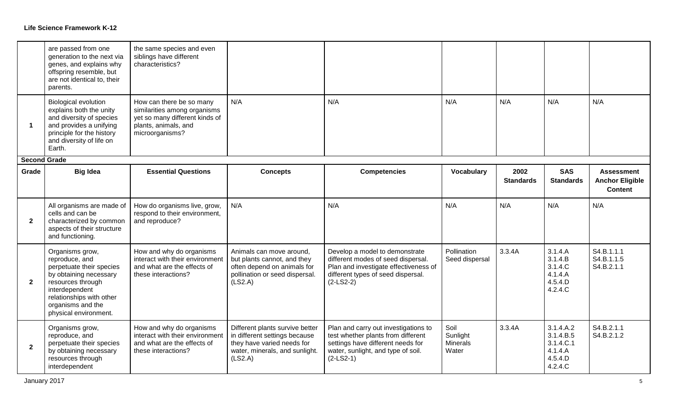|                      | are passed from one<br>generation to the next via<br>genes, and explains why<br>offspring resemble, but<br>are not identical to, their<br>parents.                                                       | the same species and even<br>siblings have different<br>characteristics?                                                              |                                                                                                                                             |                                                                                                                                                                      |                                              |                          |                                                                      |                                                               |
|----------------------|----------------------------------------------------------------------------------------------------------------------------------------------------------------------------------------------------------|---------------------------------------------------------------------------------------------------------------------------------------|---------------------------------------------------------------------------------------------------------------------------------------------|----------------------------------------------------------------------------------------------------------------------------------------------------------------------|----------------------------------------------|--------------------------|----------------------------------------------------------------------|---------------------------------------------------------------|
| $\blacktriangleleft$ | <b>Biological evolution</b><br>explains both the unity<br>and diversity of species<br>and provides a unifying<br>principle for the history<br>and diversity of life on<br>Earth.                         | How can there be so many<br>similarities among organisms<br>yet so many different kinds of<br>plants, animals, and<br>microorganisms? | N/A                                                                                                                                         | N/A                                                                                                                                                                  | N/A                                          | N/A                      | N/A                                                                  | N/A                                                           |
| <b>Second Grade</b>  |                                                                                                                                                                                                          |                                                                                                                                       |                                                                                                                                             |                                                                                                                                                                      |                                              |                          |                                                                      |                                                               |
| Grade                | <b>Big Idea</b>                                                                                                                                                                                          | <b>Essential Questions</b>                                                                                                            | <b>Concepts</b>                                                                                                                             | <b>Competencies</b>                                                                                                                                                  | <b>Vocabulary</b>                            | 2002<br><b>Standards</b> | <b>SAS</b><br><b>Standards</b>                                       | <b>Assessment</b><br><b>Anchor Eligible</b><br><b>Content</b> |
| $\overline{2}$       | All organisms are made of<br>cells and can be<br>characterized by common<br>aspects of their structure<br>and functioning.                                                                               | How do organisms live, grow,<br>respond to their environment,<br>and reproduce?                                                       | N/A                                                                                                                                         | N/A                                                                                                                                                                  | N/A                                          | N/A                      | N/A                                                                  | N/A                                                           |
| $\overline{2}$       | Organisms grow,<br>reproduce, and<br>perpetuate their species<br>by obtaining necessary<br>resources through<br>interdependent<br>relationships with other<br>organisms and the<br>physical environment. | How and why do organisms<br>interact with their environment<br>and what are the effects of<br>these interactions?                     | Animals can move around,<br>but plants cannot, and they<br>often depend on animals for<br>pollination or seed dispersal.<br>(LS2.A)         | Develop a model to demonstrate<br>different modes of seed dispersal.<br>Plan and investigate effectiveness of<br>different types of seed dispersal.<br>$(2-LS2-2)$   | Pollination<br>Seed dispersal                | 3.3.4A                   | 3.1.4.A<br>3.1.4.B<br>3.1.4.C<br>4.1.4.A<br>4.5.4.D<br>4.2.4.C       | S4.B.1.1.1<br>S4.B.1.1.5<br>S4.B.2.1.1                        |
| $\overline{2}$       | Organisms grow,<br>reproduce, and<br>perpetuate their species<br>by obtaining necessary<br>resources through<br>interdependent                                                                           | How and why do organisms<br>interact with their environment<br>and what are the effects of<br>these interactions?                     | Different plants survive better<br>in different settings because<br>they have varied needs for<br>water, minerals, and sunlight.<br>(LS2.A) | Plan and carry out investigations to<br>test whether plants from different<br>settings have different needs for<br>water, sunlight, and type of soil.<br>$(2-LS2-1)$ | Soil<br>Sunlight<br><b>Minerals</b><br>Water | 3.3.4A                   | 3.1.4.A.2<br>3.1.4.B.5<br>3.1.4.C.1<br>4.1.4.A<br>4.5.4.D<br>4.2.4.C | S4.B.2.1.1<br>S4.B.2.1.2                                      |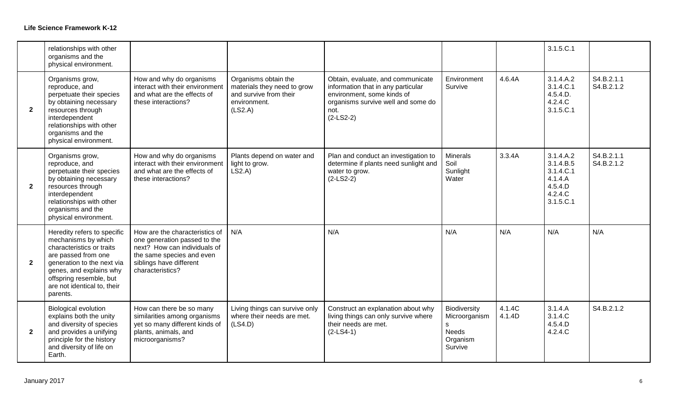|                | relationships with other<br>organisms and the<br>physical environment.                                                                                                                                                                |                                                                                                                                                                            |                                                                                                          |                                                                                                                                                                    |                                                                           |                  | 3.1.5.C.1                                                                         |                          |
|----------------|---------------------------------------------------------------------------------------------------------------------------------------------------------------------------------------------------------------------------------------|----------------------------------------------------------------------------------------------------------------------------------------------------------------------------|----------------------------------------------------------------------------------------------------------|--------------------------------------------------------------------------------------------------------------------------------------------------------------------|---------------------------------------------------------------------------|------------------|-----------------------------------------------------------------------------------|--------------------------|
| $\overline{2}$ | Organisms grow,<br>reproduce, and<br>perpetuate their species<br>by obtaining necessary<br>resources through<br>interdependent<br>relationships with other<br>organisms and the<br>physical environment.                              | How and why do organisms<br>interact with their environment<br>and what are the effects of<br>these interactions?                                                          | Organisms obtain the<br>materials they need to grow<br>and survive from their<br>environment.<br>(LS2.A) | Obtain, evaluate, and communicate<br>information that in any particular<br>environment, some kinds of<br>organisms survive well and some do<br>not.<br>$(2-LS2-2)$ | Environment<br>Survive                                                    | 4.6.4A           | 3.1.4.A.2<br>3.1.4.C.1<br>4.5.4.D.<br>4.2.4.C<br>3.1.5.C.1                        | S4.B.2.1.1<br>S4.B.2.1.2 |
| $\mathbf{2}$   | Organisms grow,<br>reproduce, and<br>perpetuate their species<br>by obtaining necessary<br>resources through<br>interdependent<br>relationships with other<br>organisms and the<br>physical environment.                              | How and why do organisms<br>interact with their environment<br>and what are the effects of<br>these interactions?                                                          | Plants depend on water and<br>light to grow.<br>LS2.A                                                    | Plan and conduct an investigation to<br>determine if plants need sunlight and<br>water to grow.<br>$(2-LS2-2)$                                                     | <b>Minerals</b><br>Soil<br>Sunlight<br>Water                              | 3.3.4A           | 3.1.4.A.2<br>3.1.4.B.5<br>3.1.4.C.1<br>4.1.4.A<br>4.5.4.D<br>4.2.4.C<br>3.1.5.C.1 | S4.B.2.1.1<br>S4.B.2.1.2 |
| $\mathbf{2}$   | Heredity refers to specific<br>mechanisms by which<br>characteristics or traits<br>are passed from one<br>generation to the next via<br>genes, and explains why<br>offspring resemble, but<br>are not identical to, their<br>parents. | How are the characteristics of<br>one generation passed to the<br>next? How can individuals of<br>the same species and even<br>siblings have different<br>characteristics? | N/A                                                                                                      | N/A                                                                                                                                                                | N/A                                                                       | N/A              | N/A                                                                               | N/A                      |
| $\mathbf{2}$   | <b>Biological evolution</b><br>explains both the unity<br>and diversity of species<br>and provides a unifying<br>principle for the history<br>and diversity of life on<br>Earth.                                                      | How can there be so many<br>similarities among organisms<br>yet so many different kinds of<br>plants, animals, and<br>microorganisms?                                      | Living things can survive only<br>where their needs are met.<br>(LSA.D)                                  | Construct an explanation about why<br>living things can only survive where<br>their needs are met.<br>$(2-LS4-1)$                                                  | Biodiversity<br>Microorganism<br>s<br><b>Needs</b><br>Organism<br>Survive | 4.1.4C<br>4.1.4D | 3.1.4.A<br>3.1.4.C<br>4.5.4.D<br>4.2.4.C                                          | S4.B.2.1.2               |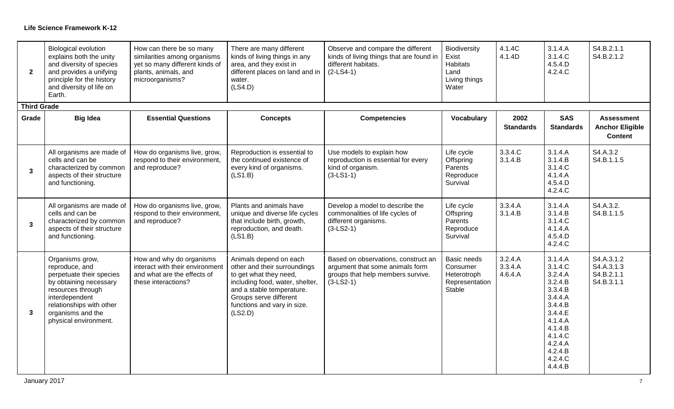| $\overline{2}$     | <b>Biological evolution</b><br>explains both the unity<br>and diversity of species<br>and provides a unifying<br>principle for the history<br>and diversity of life on<br>Earth.                         | How can there be so many<br>similarities among organisms<br>yet so many different kinds of<br>plants, animals, and<br>microorganisms? | There are many different<br>kinds of living things in any<br>area, and they exist in<br>different places on land and in<br>water.<br>(LSA.D)                                                                         | Observe and compare the different<br>kinds of living things that are found in<br>different habitats.<br>$(2-LS4-1)$        | Biodiversity<br>Exist<br>Habitats<br>Land<br>Living things<br>Water | 4.1.4C<br>4.1.4D              | 3.1.4.A<br>3.1.4.C<br>4.5.4.D<br>4.2.4.C                                                                                                                          | S4.B.2.1.1<br>S4.B.2.1.2                                      |
|--------------------|----------------------------------------------------------------------------------------------------------------------------------------------------------------------------------------------------------|---------------------------------------------------------------------------------------------------------------------------------------|----------------------------------------------------------------------------------------------------------------------------------------------------------------------------------------------------------------------|----------------------------------------------------------------------------------------------------------------------------|---------------------------------------------------------------------|-------------------------------|-------------------------------------------------------------------------------------------------------------------------------------------------------------------|---------------------------------------------------------------|
| <b>Third Grade</b> |                                                                                                                                                                                                          |                                                                                                                                       |                                                                                                                                                                                                                      |                                                                                                                            |                                                                     |                               |                                                                                                                                                                   |                                                               |
| Grade              | <b>Big Idea</b>                                                                                                                                                                                          | <b>Essential Questions</b>                                                                                                            | <b>Concepts</b>                                                                                                                                                                                                      | <b>Competencies</b>                                                                                                        | <b>Vocabulary</b>                                                   | 2002<br><b>Standards</b>      | <b>SAS</b><br><b>Standards</b>                                                                                                                                    | <b>Assessment</b><br><b>Anchor Eligible</b><br><b>Content</b> |
| $\mathbf{3}$       | All organisms are made of<br>cells and can be<br>characterized by common<br>aspects of their structure<br>and functioning.                                                                               | How do organisms live, grow,<br>respond to their environment,<br>and reproduce?                                                       | Reproduction is essential to<br>the continued existence of<br>every kind of organisms.<br>(LS1.B)                                                                                                                    | Use models to explain how<br>reproduction is essential for every<br>kind of organism.<br>$(3-LS1-1)$                       | Life cycle<br>Offspring<br>Parents<br>Reproduce<br>Survival         | 3.3.4.C<br>3.1.4.B            | 3.1.4.A<br>3.1.4.B<br>3.1.4.C<br>4.1.4.A<br>4.5.4.D<br>4.2.4.C                                                                                                    | S4.A.3.2<br>S4.B.1.1.5                                        |
| $\mathbf{3}$       | All organisms are made of<br>cells and can be<br>characterized by common<br>aspects of their structure<br>and functioning.                                                                               | How do organisms live, grow,<br>respond to their environment,<br>and reproduce?                                                       | Plants and animals have<br>unique and diverse life cycles<br>that include birth, growth,<br>reproduction, and death.<br>(LS1.B)                                                                                      | Develop a model to describe the<br>commonalities of life cycles of<br>different organisms.<br>$(3-LS2-1)$                  | Life cycle<br>Offspring<br>Parents<br>Reproduce<br>Survival         | 3.3.4.A<br>3.1.4.B            | 3.1.4.A<br>3.1.4.B<br>3.1.4.C<br>4.1.4.A<br>4.5.4.D<br>4.2.4.C                                                                                                    | S4.A.3.2.<br>S4.B.1.1.5                                       |
| $\mathbf{3}$       | Organisms grow,<br>reproduce, and<br>perpetuate their species<br>by obtaining necessary<br>resources through<br>interdependent<br>relationships with other<br>organisms and the<br>physical environment. | How and why do organisms<br>interact with their environment<br>and what are the effects of<br>these interactions?                     | Animals depend on each<br>other and their surroundings<br>to get what they need,<br>including food, water, shelter,<br>and a stable temperature.<br>Groups serve different<br>functions and vary in size.<br>(LS2.D) | Based on observations, construct an<br>argument that some animals form<br>groups that help members survive.<br>$(3-LS2-1)$ | Basic needs<br>Consumer<br>Heterotroph<br>Representation<br>Stable  | 3.2.4.A<br>3.3.4.A<br>4.6.4.A | 3.1.4.A<br>3.1.4.C<br>3.2.4.A<br>3.2.4.B<br>3.3.4.B<br>3.4.4.A<br>3.4.4.B<br>3.4.4.E<br>4.1.4.A<br>4.1.4.B<br>4.1.4.C<br>4.2.4.A<br>4.2.4.B<br>4.2.4.C<br>4.4.4.B | S4.A.3.1.2<br>S4.A.3.1.3<br>S4.B.2.1.1<br>S4.B.3.1.1          |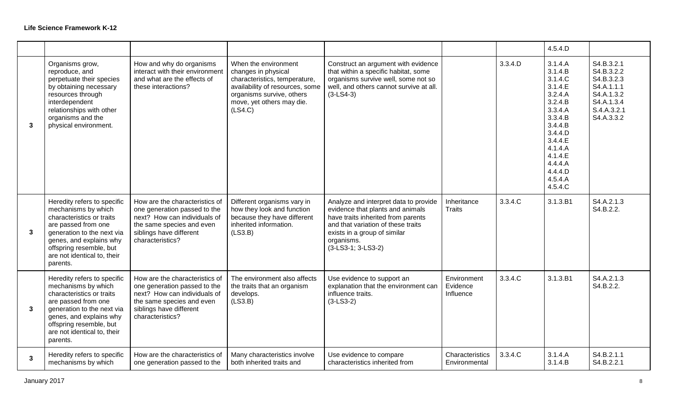|              |                                                                                                                                                                                                                                       |                                                                                                                                                                            |                                                                                                                                                                                      |                                                                                                                                                                                                                           |                                      |         | 4.5.4.D                                                                                                                                                                                 |                                                                                                               |
|--------------|---------------------------------------------------------------------------------------------------------------------------------------------------------------------------------------------------------------------------------------|----------------------------------------------------------------------------------------------------------------------------------------------------------------------------|--------------------------------------------------------------------------------------------------------------------------------------------------------------------------------------|---------------------------------------------------------------------------------------------------------------------------------------------------------------------------------------------------------------------------|--------------------------------------|---------|-----------------------------------------------------------------------------------------------------------------------------------------------------------------------------------------|---------------------------------------------------------------------------------------------------------------|
| $\mathbf{3}$ | Organisms grow,<br>reproduce, and<br>perpetuate their species<br>by obtaining necessary<br>resources through<br>interdependent<br>relationships with other<br>organisms and the<br>physical environment.                              | How and why do organisms<br>interact with their environment<br>and what are the effects of<br>these interactions?                                                          | When the environment<br>changes in physical<br>characteristics, temperature,<br>availability of resources, some<br>organisms survive, others<br>move, yet others may die.<br>(LS4.C) | Construct an argument with evidence<br>that within a specific habitat, some<br>organisms survive well, some not so<br>well, and others cannot survive at all.<br>$(3-LS4-3)$                                              |                                      | 3.3.4.D | 3.1.4.A<br>3.1.4.B<br>3.1.4.C<br>3.1.4.E<br>3.2.4.A<br>3.2.4.B<br>3.3.4.A<br>3.3.4.B<br>3.4.4.B<br>3.4.4.D<br>3.4.4.E<br>4.1.4.A<br>4.1.4.E<br>4.4.4.A<br>4.4.4.D<br>4.5.4.A<br>4.5.4.C | S4.B.3.2.1<br>S4.B.3.2.2<br>S4.B.3.2.3<br>S4.A.1.1.1<br>S4.A.1.3.2<br>S4.A.1.3.4<br>S.4.A.3.2.1<br>S4.A.3.3.2 |
| $\mathbf{3}$ | Heredity refers to specific<br>mechanisms by which<br>characteristics or traits<br>are passed from one<br>generation to the next via<br>genes, and explains why<br>offspring resemble, but<br>are not identical to, their<br>parents. | How are the characteristics of<br>one generation passed to the<br>next? How can individuals of<br>the same species and even<br>siblings have different<br>characteristics? | Different organisms vary in<br>how they look and function<br>because they have different<br>inherited information.<br>(LS3.B)                                                        | Analyze and interpret data to provide<br>evidence that plants and animals<br>have traits inherited from parents<br>and that variation of these traits<br>exists in a group of similar<br>organisms.<br>(3-LS3-1; 3-LS3-2) | Inheritance<br><b>Traits</b>         | 3.3.4.C | 3.1.3.B1                                                                                                                                                                                | S4.A.2.1.3<br>S4.B.2.2.                                                                                       |
| 3            | Heredity refers to specific<br>mechanisms by which<br>characteristics or traits<br>are passed from one<br>generation to the next via<br>genes, and explains why<br>offspring resemble, but<br>are not identical to, their<br>parents. | How are the characteristics of<br>one generation passed to the<br>next? How can individuals of<br>the same species and even<br>siblings have different<br>characteristics? | The environment also affects<br>the traits that an organism<br>develops.<br>(LS3.B)                                                                                                  | Use evidence to support an<br>explanation that the environment can<br>influence traits.<br>$(3-LS3-2)$                                                                                                                    | Environment<br>Evidence<br>Influence | 3.3.4.C | 3.1.3.B1                                                                                                                                                                                | S4.A.2.1.3<br>S4.B.2.2.                                                                                       |
| $\mathbf{3}$ | Heredity refers to specific<br>mechanisms by which                                                                                                                                                                                    | How are the characteristics of<br>one generation passed to the                                                                                                             | Many characteristics involve<br>both inherited traits and                                                                                                                            | Use evidence to compare<br>characteristics inherited from                                                                                                                                                                 | Characteristics<br>Environmental     | 3.3.4.C | 3.1.4.A<br>3.1.4.B                                                                                                                                                                      | S4.B.2.1.1<br>S4.B.2.2.1                                                                                      |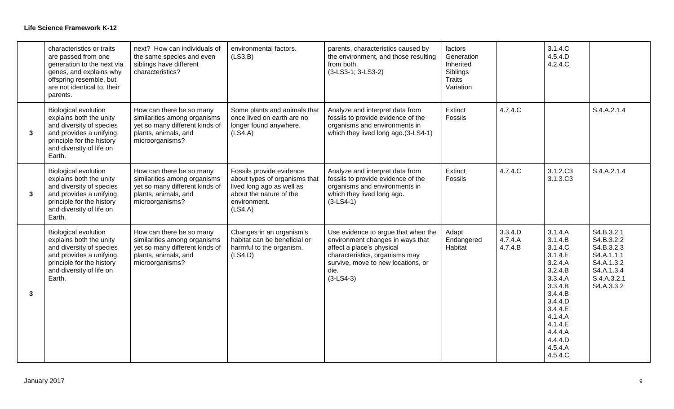|              | characteristics or traits<br>are passed from one<br>generation to the next via<br>genes, and explains why<br>offspring resemble, but<br>are not identical to, their<br>parents.  | next? How can individuals of<br>the same species and even<br>siblings have different<br>characteristics?                              | environmental factors.<br>(LS3.B)                                                                                                            | parents, characteristics caused by<br>the environment, and those resulting<br>from both.<br>(3-LS3-1; 3-LS3-2)                                                                                      | factors<br>Generation<br>Inherited<br>Siblings<br>Traits<br>Variation |                               | 3.1.4.C<br>4.5.4.D<br>4.2.4.C                                                                                                                                                           |                                                                                                               |
|--------------|----------------------------------------------------------------------------------------------------------------------------------------------------------------------------------|---------------------------------------------------------------------------------------------------------------------------------------|----------------------------------------------------------------------------------------------------------------------------------------------|-----------------------------------------------------------------------------------------------------------------------------------------------------------------------------------------------------|-----------------------------------------------------------------------|-------------------------------|-----------------------------------------------------------------------------------------------------------------------------------------------------------------------------------------|---------------------------------------------------------------------------------------------------------------|
| $\mathbf{3}$ | <b>Biological evolution</b><br>explains both the unity<br>and diversity of species<br>and provides a unifying<br>principle for the history<br>and diversity of life on<br>Earth. | How can there be so many<br>similarities among organisms<br>yet so many different kinds of<br>plants, animals, and<br>microorganisms? | Some plants and animals that<br>once lived on earth are no<br>longer found anywhere.<br>(LSA.A)                                              | Analyze and interpret data from<br>fossils to provide evidence of the<br>organisms and environments in<br>which they lived long ago.(3-LS4-1)                                                       | Extinct<br>Fossils                                                    | 4.7.4.C                       |                                                                                                                                                                                         | S.4.A.2.1.4                                                                                                   |
| $\mathbf{3}$ | <b>Biological evolution</b><br>explains both the unity<br>and diversity of species<br>and provides a unifying<br>principle for the history<br>and diversity of life on<br>Earth. | How can there be so many<br>similarities among organisms<br>yet so many different kinds of<br>plants, animals, and<br>microorganisms? | Fossils provide evidence<br>about types of organisms that<br>lived long ago as well as<br>about the nature of the<br>environment.<br>(LS4.A) | Analyze and interpret data from<br>fossils to provide evidence of the<br>organisms and environments in<br>which they lived long ago.<br>$(3-LS4-1)$                                                 | Extinct<br>Fossils                                                    | 4.7.4.C                       | 3.1.2.C <sub>3</sub><br>3.1.3.C <sub>3</sub>                                                                                                                                            | S.4.A.2.1.4                                                                                                   |
| $\mathbf{3}$ | <b>Biological evolution</b><br>explains both the unity<br>and diversity of species<br>and provides a unifying<br>principle for the history<br>and diversity of life on<br>Earth. | How can there be so many<br>similarities among organisms<br>yet so many different kinds of<br>plants, animals, and<br>microorganisms? | Changes in an organism's<br>habitat can be beneficial or<br>harmful to the organism.<br>(LSA.D)                                              | Use evidence to argue that when the<br>environment changes in ways that<br>affect a place's physical<br>characteristics, organisms may<br>survive, move to new locations, or<br>die.<br>$(3-LS4-3)$ | Adapt<br>Endangered<br>Habitat                                        | 3.3.4.D<br>4.7.4.A<br>4.7.4.B | 3.1.4.A<br>3.1.4.B<br>3.1.4.C<br>3.1.4.E<br>3.2.4.A<br>3.2.4.B<br>3.3.4.A<br>3.3.4.B<br>3.4.4.B<br>3.4.4.D<br>3.4.4.E<br>4.1.4.A<br>4.1.4.E<br>4.4.4.A<br>4.4.4.D<br>4.5.4.A<br>4.5.4.C | S4.B.3.2.1<br>S4.B.3.2.2<br>S4.B.3.2.3<br>S4.A.1.1.1<br>S4.A.1.3.2<br>S4.A.1.3.4<br>S.4.A.3.2.1<br>S4.A.3.3.2 |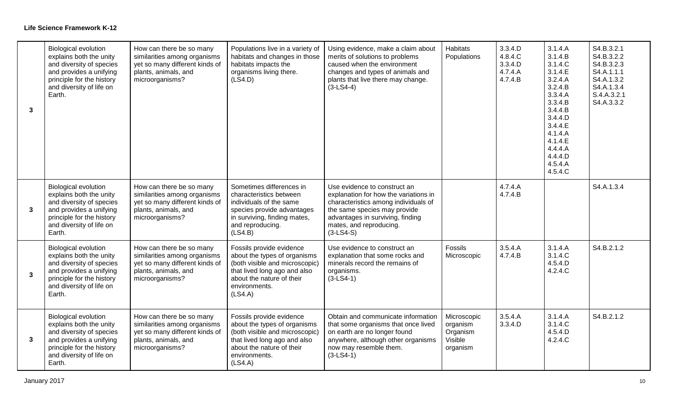| $\mathbf{3}$   | <b>Biological evolution</b><br>explains both the unity<br>and diversity of species<br>and provides a unifying<br>principle for the history<br>and diversity of life on<br>Earth. | How can there be so many<br>similarities among organisms<br>yet so many different kinds of<br>plants, animals, and<br>microorganisms? | Populations live in a variety of<br>habitats and changes in those<br>habitats impacts the<br>organisms living there.<br>(LS4.D)                                                     | Using evidence, make a claim about<br>merits of solutions to problems<br>caused when the environment<br>changes and types of animals and<br>plants that live there may change.<br>$(3-LS4-4)$                               | Habitats<br>Populations                                    | 3.3.4.D<br>4.8.4.C<br>3.3.4.D<br>4.7.4.A<br>4.7.4.B | 3.1.4.A<br>3.1.4.B<br>3.1.4.C<br>3.1.4.E<br>3.2.4.A<br>3.2.4.B<br>3.3.4.A<br>3.3.4.B<br>3.4.4.B<br>3.4.4.D<br>3.4.4.E<br>4.1.4.A<br>4.1.4.E<br>4.4.4.A<br>4.4.4.D<br>4.5.4.A<br>4.5.4.C | S4.B.3.2.1<br>S4.B.3.2.2<br>S4.B.3.2.3<br>S4.A.1.1.1<br>S4.A.1.3.2<br>S4.A.1.3.4<br>S.4.A.3.2.1<br>S4.A.3.3.2 |
|----------------|----------------------------------------------------------------------------------------------------------------------------------------------------------------------------------|---------------------------------------------------------------------------------------------------------------------------------------|-------------------------------------------------------------------------------------------------------------------------------------------------------------------------------------|-----------------------------------------------------------------------------------------------------------------------------------------------------------------------------------------------------------------------------|------------------------------------------------------------|-----------------------------------------------------|-----------------------------------------------------------------------------------------------------------------------------------------------------------------------------------------|---------------------------------------------------------------------------------------------------------------|
| $\overline{3}$ | <b>Biological evolution</b><br>explains both the unity<br>and diversity of species<br>and provides a unifying<br>principle for the history<br>and diversity of life on<br>Earth. | How can there be so many<br>similarities among organisms<br>yet so many different kinds of<br>plants, animals, and<br>microorganisms? | Sometimes differences in<br>characteristics between<br>individuals of the same<br>species provide advantages<br>in surviving, finding mates,<br>and reproducing.<br>(LS4.B)         | Use evidence to construct an<br>explanation for how the variations in<br>characteristics among individuals of<br>the same species may provide<br>advantages in surviving, finding<br>mates, and reproducing.<br>$(3-LS4-S)$ |                                                            | 4.7.4.A<br>4.7.4.B                                  |                                                                                                                                                                                         | S4.A.1.3.4                                                                                                    |
| $\mathbf{3}$   | <b>Biological evolution</b><br>explains both the unity<br>and diversity of species<br>and provides a unifying<br>principle for the history<br>and diversity of life on<br>Earth. | How can there be so many<br>similarities among organisms<br>yet so many different kinds of<br>plants, animals, and<br>microorganisms? | Fossils provide evidence<br>about the types of organisms<br>(both visible and microscopic)<br>that lived long ago and also<br>about the nature of their<br>environments.<br>(LS4.A) | Use evidence to construct an<br>explanation that some rocks and<br>minerals record the remains of<br>organisms.<br>$(3-LS4-1)$                                                                                              | Fossils<br>Microscopic                                     | 3.5.4.A<br>4.7.4.B                                  | 3.1.4.A<br>3.1.4.C<br>4.5.4.D<br>4.2.4.C                                                                                                                                                | S4.B.2.1.2                                                                                                    |
| $\overline{3}$ | <b>Biological evolution</b><br>explains both the unity<br>and diversity of species<br>and provides a unifying<br>principle for the history<br>and diversity of life on<br>Earth. | How can there be so many<br>similarities among organisms<br>yet so many different kinds of<br>plants, animals, and<br>microorganisms? | Fossils provide evidence<br>about the types of organisms<br>(both visible and microscopic)<br>that lived long ago and also<br>about the nature of their<br>environments.<br>(LS4.A) | Obtain and communicate information<br>that some organisms that once lived<br>on earth are no longer found<br>anywhere, although other organisms<br>now may resemble them.<br>$(3-LS4-1)$                                    | Microscopic<br>organism<br>Organism<br>Visible<br>organism | 3.5.4.A<br>3.3.4.D                                  | 3.1.4.A<br>3.1.4.C<br>4.5.4.D<br>4.2.4.C                                                                                                                                                | S4.B.2.1.2                                                                                                    |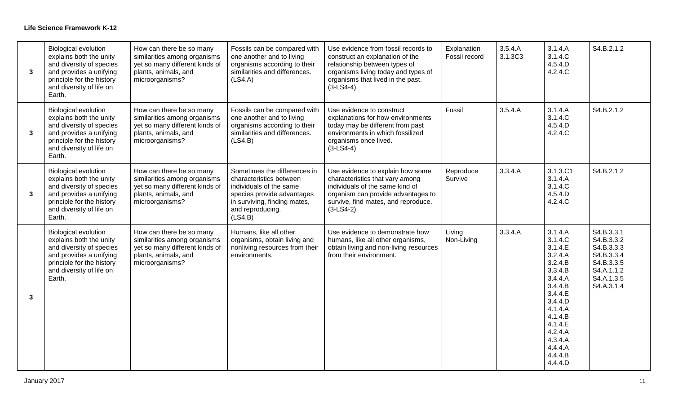| $\mathbf{3}$ | <b>Biological evolution</b><br>explains both the unity<br>and diversity of species<br>and provides a unifying<br>principle for the history<br>and diversity of life on<br>Earth. | How can there be so many<br>similarities among organisms<br>yet so many different kinds of<br>plants, animals, and<br>microorganisms? | Fossils can be compared with<br>one another and to living<br>organisms according to their<br>similarities and differences.<br>(LS4.A)                                           | Use evidence from fossil records to<br>construct an explanation of the<br>relationship between types of<br>organisms living today and types of<br>organisms that lived in the past.<br>$(3-LS4-4)$ | Explanation<br>Fossil record | 3.5.4.A<br>3.1.3C3 | 3.1.4.A<br>3.1.4.C<br>4.5.4.D<br>4.2.4.C                                                                                                                                                           | S4.B.2.1.2                                                                                                   |
|--------------|----------------------------------------------------------------------------------------------------------------------------------------------------------------------------------|---------------------------------------------------------------------------------------------------------------------------------------|---------------------------------------------------------------------------------------------------------------------------------------------------------------------------------|----------------------------------------------------------------------------------------------------------------------------------------------------------------------------------------------------|------------------------------|--------------------|----------------------------------------------------------------------------------------------------------------------------------------------------------------------------------------------------|--------------------------------------------------------------------------------------------------------------|
| 3            | <b>Biological evolution</b><br>explains both the unity<br>and diversity of species<br>and provides a unifying<br>principle for the history<br>and diversity of life on<br>Earth. | How can there be so many<br>similarities among organisms<br>yet so many different kinds of<br>plants, animals, and<br>microorganisms? | Fossils can be compared with<br>one another and to living<br>organisms according to their<br>similarities and differences.<br>(LSA.B)                                           | Use evidence to construct<br>explanations for how environments<br>today may be different from past<br>environments in which fossilized<br>organisms once lived.<br>$(3-LS4-4)$                     | Fossil                       | 3.5.4.A            | 3.1.4.A<br>3.1.4.C<br>4.5.4.D<br>4.2.4.C                                                                                                                                                           | S4.B.2.1.2                                                                                                   |
| $\mathbf{3}$ | <b>Biological evolution</b><br>explains both the unity<br>and diversity of species<br>and provides a unifying<br>principle for the history<br>and diversity of life on<br>Earth. | How can there be so many<br>similarities among organisms<br>yet so many different kinds of<br>plants, animals, and<br>microorganisms? | Sometimes the differences in<br>characteristics between<br>individuals of the same<br>species provide advantages<br>in surviving, finding mates,<br>and reproducing.<br>(LS4.B) | Use evidence to explain how some<br>characteristics that vary among<br>individuals of the same kind of<br>organism can provide advantages to<br>survive, find mates, and reproduce.<br>$(3-LS4-2)$ | Reproduce<br>Survive         | 3.3.4.A            | 3.1.3.C1<br>3.1.4.A<br>3.1.4.C<br>4.5.4.D<br>4.2.4.C                                                                                                                                               | S4.B.2.1.2                                                                                                   |
| $\mathbf{3}$ | <b>Biological evolution</b><br>explains both the unity<br>and diversity of species<br>and provides a unifying<br>principle for the history<br>and diversity of life on<br>Earth. | How can there be so many<br>similarities among organisms<br>yet so many different kinds of<br>plants, animals, and<br>microorganisms? | Humans, like all other<br>organisms, obtain living and<br>nonliving resources from their<br>environments.                                                                       | Use evidence to demonstrate how<br>humans, like all other organisms,<br>obtain living and non-living resources<br>from their environment.                                                          | Living<br>Non-Living         | 3.3.4.A            | 3.1.4.A<br>3.1.4.C<br>3.1.4.E<br>3.2.4.A<br>3.2.4.B<br>3.3.4.B<br>3.4.4.A<br>3.4.4.B<br>3.4.4.E<br>3.4.4.D<br>4.1.4.A<br>4.1.4.B<br>4.1.4.E<br>4.2.4.A<br>4.3.4.A<br>4.4.4.A<br>4.4.4.B<br>4.4.4.D | S4.B.3.3.1<br>S4.B.3.3.2<br>S4.B.3.3.3<br>S4.B.3.3.4<br>S4.B.3.3.5<br>S4.A.1.1.2<br>S4.A.1.3.5<br>S4.A.3.1.4 |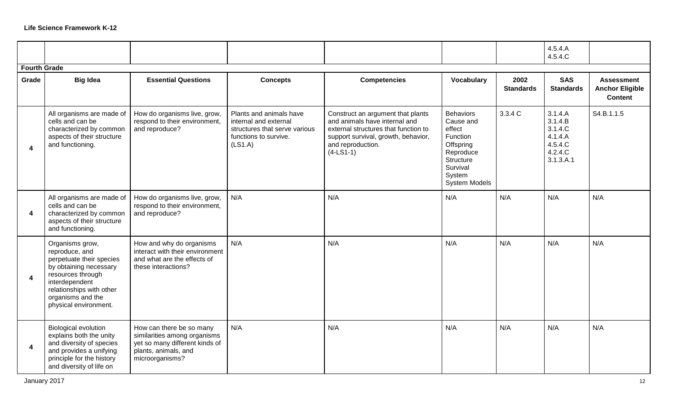|                         |                                                                                                                                                                                                          |                                                                                                                                       |                                                                                                                       |                                                                                                                                                                                       |                                                                                                                                   |                          | 4.5.4.A<br>4.5.4.C                                                          |                                                               |
|-------------------------|----------------------------------------------------------------------------------------------------------------------------------------------------------------------------------------------------------|---------------------------------------------------------------------------------------------------------------------------------------|-----------------------------------------------------------------------------------------------------------------------|---------------------------------------------------------------------------------------------------------------------------------------------------------------------------------------|-----------------------------------------------------------------------------------------------------------------------------------|--------------------------|-----------------------------------------------------------------------------|---------------------------------------------------------------|
| <b>Fourth Grade</b>     |                                                                                                                                                                                                          |                                                                                                                                       |                                                                                                                       |                                                                                                                                                                                       |                                                                                                                                   |                          |                                                                             |                                                               |
| Grade                   | <b>Big Idea</b>                                                                                                                                                                                          | <b>Essential Questions</b>                                                                                                            | <b>Concepts</b>                                                                                                       | <b>Competencies</b>                                                                                                                                                                   | Vocabulary                                                                                                                        | 2002<br><b>Standards</b> | <b>SAS</b><br><b>Standards</b>                                              | <b>Assessment</b><br><b>Anchor Eligible</b><br><b>Content</b> |
| $\boldsymbol{\Lambda}$  | All organisms are made of<br>cells and can be<br>characterized by common<br>aspects of their structure<br>and functioning.                                                                               | How do organisms live, grow,<br>respond to their environment,<br>and reproduce?                                                       | Plants and animals have<br>internal and external<br>structures that serve various<br>functions to survive.<br>(LS1.A) | Construct an argument that plants<br>and animals have internal and<br>external structures that function to<br>support survival, growth, behavior,<br>and reproduction.<br>$(4-LS1-1)$ | <b>Behaviors</b><br>Cause and<br>effect<br>Function<br>Offspring<br>Reproduce<br>Structure<br>Survival<br>System<br>System Models | 3.3.4 C                  | 3.1.4.A<br>3.1.4.B<br>3.1.4.C<br>4.1.4.A<br>4.5.4.C<br>4.2.4.C<br>3.1.3.A.1 | S4.B.1.1.5                                                    |
| 4                       | All organisms are made of<br>cells and can be<br>characterized by common<br>aspects of their structure<br>and functioning.                                                                               | How do organisms live, grow,<br>respond to their environment,<br>and reproduce?                                                       | N/A                                                                                                                   | N/A                                                                                                                                                                                   | N/A                                                                                                                               | N/A                      | N/A                                                                         | N/A                                                           |
| $\overline{\mathbf{4}}$ | Organisms grow,<br>reproduce, and<br>perpetuate their species<br>by obtaining necessary<br>resources through<br>interdependent<br>relationships with other<br>organisms and the<br>physical environment. | How and why do organisms<br>interact with their environment<br>and what are the effects of<br>these interactions?                     | N/A                                                                                                                   | N/A                                                                                                                                                                                   | N/A                                                                                                                               | N/A                      | N/A                                                                         | N/A                                                           |
| $\boldsymbol{4}$        | <b>Biological evolution</b><br>explains both the unity<br>and diversity of species<br>and provides a unifying<br>principle for the history<br>and diversity of life on                                   | How can there be so many<br>similarities among organisms<br>yet so many different kinds of<br>plants, animals, and<br>microorganisms? | N/A                                                                                                                   | N/A                                                                                                                                                                                   | N/A                                                                                                                               | N/A                      | N/A                                                                         | N/A                                                           |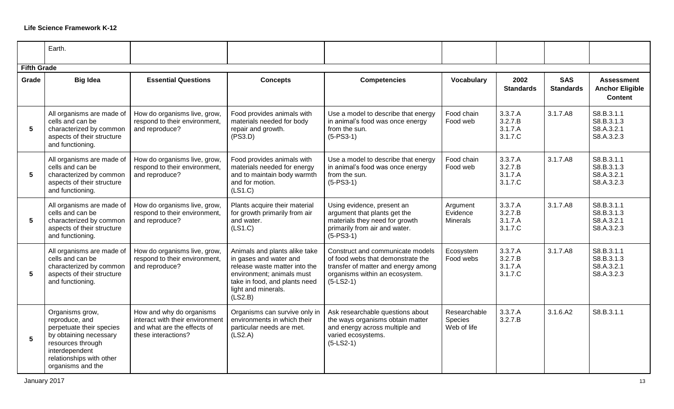|                    | Earth.                                                                                                                                                                          |                                                                                                                   |                                                                                                                                                                                          |                                                                                                                                                               |                                         |                                          |                                |                                                               |
|--------------------|---------------------------------------------------------------------------------------------------------------------------------------------------------------------------------|-------------------------------------------------------------------------------------------------------------------|------------------------------------------------------------------------------------------------------------------------------------------------------------------------------------------|---------------------------------------------------------------------------------------------------------------------------------------------------------------|-----------------------------------------|------------------------------------------|--------------------------------|---------------------------------------------------------------|
| <b>Fifth Grade</b> |                                                                                                                                                                                 |                                                                                                                   |                                                                                                                                                                                          |                                                                                                                                                               |                                         |                                          |                                |                                                               |
| Grade              | <b>Big Idea</b>                                                                                                                                                                 | <b>Essential Questions</b>                                                                                        | <b>Concepts</b>                                                                                                                                                                          | <b>Competencies</b>                                                                                                                                           | Vocabulary                              | 2002<br><b>Standards</b>                 | <b>SAS</b><br><b>Standards</b> | <b>Assessment</b><br><b>Anchor Eligible</b><br><b>Content</b> |
| 5                  | All organisms are made of<br>cells and can be<br>characterized by common<br>aspects of their structure<br>and functioning.                                                      | How do organisms live, grow,<br>respond to their environment,<br>and reproduce?                                   | Food provides animals with<br>materials needed for body<br>repair and growth.<br>(PS3.D)                                                                                                 | Use a model to describe that energy<br>in animal's food was once energy<br>from the sun.<br>$(5-PS3-1)$                                                       | Food chain<br>Food web                  | 3.3.7.A<br>3.2.7.B<br>3.1.7.A<br>3.1.7.C | 3.1.7.A8                       | S8.B.3.1.1<br>S8.B.3.1.3<br>S8.A.3.2.1<br>S8.A.3.2.3          |
| 5                  | All organisms are made of<br>cells and can be<br>characterized by common<br>aspects of their structure<br>and functioning.                                                      | How do organisms live, grow,<br>respond to their environment,<br>and reproduce?                                   | Food provides animals with<br>materials needed for energy<br>and to maintain body warmth<br>and for motion.<br>(LS1.C)                                                                   | Use a model to describe that energy<br>in animal's food was once energy<br>from the sun.<br>$(5-PS3-1)$                                                       | Food chain<br>Food web                  | 3.3.7.A<br>3.2.7.B<br>3.1.7.A<br>3.1.7.C | 3.1.7.A8                       | S8.B.3.1.1<br>S8.B.3.1.3<br>S8.A.3.2.1<br>S8.A.3.2.3          |
| 5                  | All organisms are made of<br>cells and can be<br>characterized by common<br>aspects of their structure<br>and functioning.                                                      | How do organisms live, grow,<br>respond to their environment,<br>and reproduce?                                   | Plants acquire their material<br>for growth primarily from air<br>and water.<br>(LS1.C)                                                                                                  | Using evidence, present an<br>argument that plants get the<br>materials they need for growth<br>primarily from air and water.<br>$(5-PS3-1)$                  | Argument<br>Evidence<br><b>Minerals</b> | 3.3.7.A<br>3.2.7.B<br>3.1.7.A<br>3.1.7.C | 3.1.7.A8                       | S8.B.3.1.1<br>S8.B.3.1.3<br>S8.A.3.2.1<br>S8.A.3.2.3          |
| 5                  | All organisms are made of<br>cells and can be<br>characterized by common<br>aspects of their structure<br>and functioning.                                                      | How do organisms live, grow,<br>respond to their environment,<br>and reproduce?                                   | Animals and plants alike take<br>in gases and water and<br>release waste matter into the<br>environment; animals must<br>take in food, and plants need<br>light and minerals.<br>(LS2.B) | Construct and communicate models<br>of food webs that demonstrate the<br>transfer of matter and energy among<br>organisms within an ecosystem.<br>$(5-LS2-1)$ | Ecosystem<br>Food webs                  | 3.3.7.A<br>3.2.7.B<br>3.1.7.A<br>3.1.7.C | 3.1.7.A8                       | S8.B.3.1.1<br>S8.B.3.1.3<br>S8.A.3.2.1<br>S8.A.3.2.3          |
| $5\phantom{1}$     | Organisms grow,<br>reproduce, and<br>perpetuate their species<br>by obtaining necessary<br>resources through<br>interdependent<br>relationships with other<br>organisms and the | How and why do organisms<br>interact with their environment<br>and what are the effects of<br>these interactions? | Organisms can survive only in<br>environments in which their<br>particular needs are met.<br>(LS2.A)                                                                                     | Ask researchable questions about<br>the ways organisms obtain matter<br>and energy across multiple and<br>varied ecosystems.<br>$(5-LS2-1)$                   | Researchable<br>Species<br>Web of life  | 3.3.7.A<br>3.2.7.B                       | 3.1.6.A2                       | S8.B.3.1.1                                                    |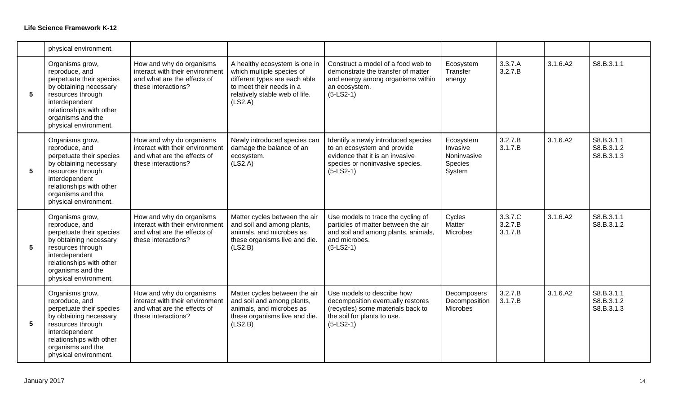|                 | physical environment.                                                                                                                                                                                    |                                                                                                                   |                                                                                                                                                                      |                                                                                                                                                         |                                                           |                               |          |                                        |
|-----------------|----------------------------------------------------------------------------------------------------------------------------------------------------------------------------------------------------------|-------------------------------------------------------------------------------------------------------------------|----------------------------------------------------------------------------------------------------------------------------------------------------------------------|---------------------------------------------------------------------------------------------------------------------------------------------------------|-----------------------------------------------------------|-------------------------------|----------|----------------------------------------|
| 5               | Organisms grow,<br>reproduce, and<br>perpetuate their species<br>by obtaining necessary<br>resources through<br>interdependent<br>relationships with other<br>organisms and the<br>physical environment. | How and why do organisms<br>interact with their environment<br>and what are the effects of<br>these interactions? | A healthy ecosystem is one in<br>which multiple species of<br>different types are each able<br>to meet their needs in a<br>relatively stable web of life.<br>(LS2.A) | Construct a model of a food web to<br>demonstrate the transfer of matter<br>and energy among organisms within<br>an ecosystem.<br>$(5-LS2-1)$           | Ecosystem<br>Transfer<br>energy                           | 3.3.7.A<br>3.2.7.B            | 3.1.6.A2 | S8.B.3.1.1                             |
| $5\phantom{1}$  | Organisms grow,<br>reproduce, and<br>perpetuate their species<br>by obtaining necessary<br>resources through<br>interdependent<br>relationships with other<br>organisms and the<br>physical environment. | How and why do organisms<br>interact with their environment<br>and what are the effects of<br>these interactions? | Newly introduced species can<br>damage the balance of an<br>ecosystem.<br>(LS2.A)                                                                                    | Identify a newly introduced species<br>to an ecosystem and provide<br>evidence that it is an invasive<br>species or noninvasive species.<br>$(5-LS2-1)$ | Ecosystem<br>Invasive<br>Noninvasive<br>Species<br>System | 3.2.7.B<br>3.1.7.B            | 3.1.6.A2 | S8.B.3.1.1<br>S8.B.3.1.2<br>S8.B.3.1.3 |
| $5\phantom{.0}$ | Organisms grow,<br>reproduce, and<br>perpetuate their species<br>by obtaining necessary<br>resources through<br>interdependent<br>relationships with other<br>organisms and the<br>physical environment. | How and why do organisms<br>interact with their environment<br>and what are the effects of<br>these interactions? | Matter cycles between the air<br>and soil and among plants,<br>animals, and microbes as<br>these organisms live and die.<br>(LS2.B)                                  | Use models to trace the cycling of<br>particles of matter between the air<br>and soil and among plants, animals,<br>and microbes.<br>$(5-LS2-1)$        | Cycles<br>Matter<br>Microbes                              | 3.3.7.C<br>3.2.7.B<br>3.1.7.B | 3.1.6.A2 | S8.B.3.1.1<br>S8.B.3.1.2               |
| $5\phantom{.0}$ | Organisms grow,<br>reproduce, and<br>perpetuate their species<br>by obtaining necessary<br>resources through<br>interdependent<br>relationships with other<br>organisms and the<br>physical environment. | How and why do organisms<br>interact with their environment<br>and what are the effects of<br>these interactions? | Matter cycles between the air<br>and soil and among plants,<br>animals, and microbes as<br>these organisms live and die.<br>(LS2.B)                                  | Use models to describe how<br>decomposition eventually restores<br>(recycles) some materials back to<br>the soil for plants to use.<br>$(5-LS2-1)$      | Decomposers<br>Decomposition<br>Microbes                  | 3.2.7.B<br>3.1.7.B            | 3.1.6.A2 | S8.B.3.1.1<br>S8.B.3.1.2<br>S8.B.3.1.3 |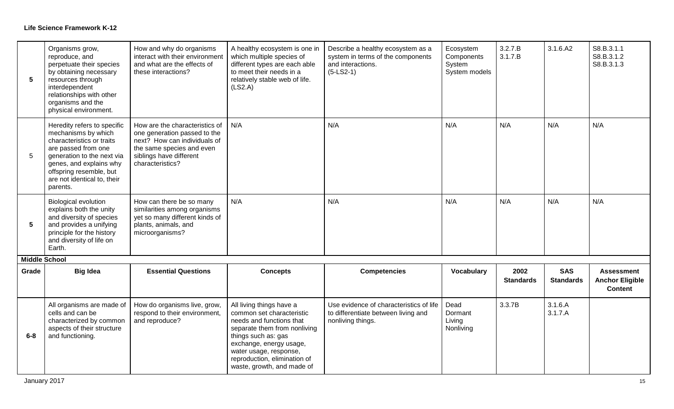| 5                             | Organisms grow,<br>reproduce, and<br>perpetuate their species<br>by obtaining necessary<br>resources through<br>interdependent<br>relationships with other<br>organisms and the<br>physical environment.                              | How and why do organisms<br>interact with their environment<br>and what are the effects of<br>these interactions?                                                          | A healthy ecosystem is one in<br>which multiple species of<br>different types are each able<br>to meet their needs in a<br>relatively stable web of life.<br>(LS2.A)                                                                                        | Describe a healthy ecosystem as a<br>system in terms of the components<br>and interactions.<br>$(5-LS2-1)$ | Ecosystem<br>Components<br>System<br>System models | 3.2.7.B<br>3.1.7.B | 3.1.6.A2           | S8.B.3.1.1<br>S8.B.3.1.2<br>S8.B.3.1.3   |
|-------------------------------|---------------------------------------------------------------------------------------------------------------------------------------------------------------------------------------------------------------------------------------|----------------------------------------------------------------------------------------------------------------------------------------------------------------------------|-------------------------------------------------------------------------------------------------------------------------------------------------------------------------------------------------------------------------------------------------------------|------------------------------------------------------------------------------------------------------------|----------------------------------------------------|--------------------|--------------------|------------------------------------------|
| 5                             | Heredity refers to specific<br>mechanisms by which<br>characteristics or traits<br>are passed from one<br>generation to the next via<br>genes, and explains why<br>offspring resemble, but<br>are not identical to, their<br>parents. | How are the characteristics of<br>one generation passed to the<br>next? How can individuals of<br>the same species and even<br>siblings have different<br>characteristics? | N/A                                                                                                                                                                                                                                                         | N/A                                                                                                        | N/A                                                | N/A                | N/A                | N/A                                      |
| 5                             | <b>Biological evolution</b><br>explains both the unity<br>and diversity of species<br>and provides a unifying<br>principle for the history<br>and diversity of life on<br>Earth.                                                      | How can there be so many<br>similarities among organisms<br>yet so many different kinds of<br>plants, animals, and<br>microorganisms?                                      | N/A                                                                                                                                                                                                                                                         | N/A                                                                                                        | N/A                                                | N/A                | N/A                | N/A                                      |
| <b>Middle School</b><br>Grade | <b>Big Idea</b>                                                                                                                                                                                                                       | <b>Essential Questions</b>                                                                                                                                                 | <b>Concepts</b>                                                                                                                                                                                                                                             | <b>Competencies</b>                                                                                        | <b>Vocabulary</b>                                  | 2002               | <b>SAS</b>         | <b>Assessment</b>                        |
|                               |                                                                                                                                                                                                                                       |                                                                                                                                                                            |                                                                                                                                                                                                                                                             |                                                                                                            |                                                    | <b>Standards</b>   | <b>Standards</b>   | <b>Anchor Eligible</b><br><b>Content</b> |
| $6 - 8$                       | All organisms are made of<br>cells and can be<br>characterized by common<br>aspects of their structure<br>and functioning.                                                                                                            | How do organisms live, grow,<br>respond to their environment,<br>and reproduce?                                                                                            | All living things have a<br>common set characteristic<br>needs and functions that<br>separate them from nonliving<br>things such as: gas<br>exchange, energy usage,<br>water usage, response,<br>reproduction, elimination of<br>waste, growth, and made of | Use evidence of characteristics of life<br>to differentiate between living and<br>nonliving things.        | Dead<br>Dormant<br>Living<br>Nonliving             | 3.3.7B             | 3.1.6.A<br>3.1.7.A |                                          |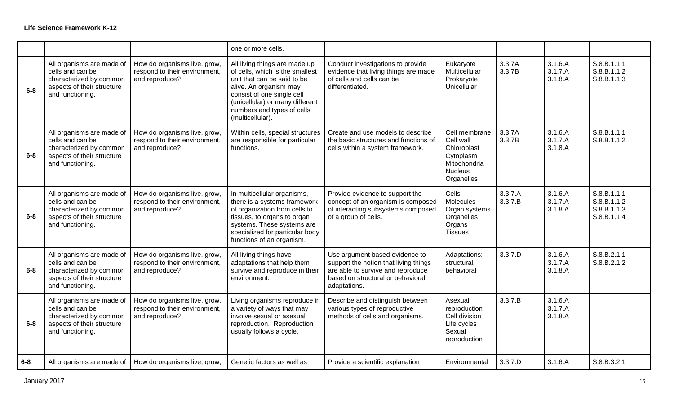|         |                                                                                                                            |                                                                                 | one or more cells.                                                                                                                                                                                                                           |                                                                                                                                                                   |                                                                                                        |                    |                               |                                                          |
|---------|----------------------------------------------------------------------------------------------------------------------------|---------------------------------------------------------------------------------|----------------------------------------------------------------------------------------------------------------------------------------------------------------------------------------------------------------------------------------------|-------------------------------------------------------------------------------------------------------------------------------------------------------------------|--------------------------------------------------------------------------------------------------------|--------------------|-------------------------------|----------------------------------------------------------|
| $6-8$   | All organisms are made of<br>cells and can be<br>characterized by common<br>aspects of their structure<br>and functioning. | How do organisms live, grow,<br>respond to their environment,<br>and reproduce? | All living things are made up<br>of cells, which is the smallest<br>unit that can be said to be<br>alive. An organism may<br>consist of one single cell<br>(unicellular) or many different<br>numbers and types of cells<br>(multicellular). | Conduct investigations to provide<br>evidence that living things are made<br>of cells and cells can be<br>differentiated.                                         | Eukaryote<br>Multicellular<br>Prokaryote<br>Unicellular                                                | 3.3.7A<br>3.3.7B   | 3.1.6.A<br>3.1.7.A<br>3.1.8.A | S.8.B.1.1.1<br>S.8.B.1.1.2<br>S.8.B.1.1.3                |
| $6-8$   | All organisms are made of<br>cells and can be<br>characterized by common<br>aspects of their structure<br>and functioning. | How do organisms live, grow,<br>respond to their environment,<br>and reproduce? | Within cells, special structures<br>are responsible for particular<br>functions.                                                                                                                                                             | Create and use models to describe<br>the basic structures and functions of<br>cells within a system framework.                                                    | Cell membrane<br>Cell wall<br>Chloroplast<br>Cytoplasm<br>Mitochondria<br><b>Nucleus</b><br>Organelles | 3.3.7A<br>3.3.7B   | 3.1.6.A<br>3.1.7.A<br>3.1.8.A | S.8.B.1.1.1<br>S.8.B.1.1.2                               |
| $6 - 8$ | All organisms are made of<br>cells and can be<br>characterized by common<br>aspects of their structure<br>and functioning. | How do organisms live, grow,<br>respond to their environment,<br>and reproduce? | In multicellular organisms,<br>there is a systems framework<br>of organization from cells to<br>tissues, to organs to organ<br>systems. These systems are<br>specialized for particular body<br>functions of an organism.                    | Provide evidence to support the<br>concept of an organism is composed<br>of interacting subsystems composed<br>of a group of cells.                               | Cells<br>Molecules<br>Organ systems<br>Organelles<br>Organs<br><b>Tissues</b>                          | 3.3.7.A<br>3.3.7.B | 3.1.6.A<br>3.1.7.A<br>3.1.8.A | S.8.B.1.1.1<br>S.8.B.1.1.2<br>S.8.B.1.1.3<br>S.8.B.1.1.4 |
| $6 - 8$ | All organisms are made of<br>cells and can be<br>characterized by common<br>aspects of their structure<br>and functioning. | How do organisms live, grow,<br>respond to their environment,<br>and reproduce? | All living things have<br>adaptations that help them<br>survive and reproduce in their<br>environment.                                                                                                                                       | Use argument based evidence to<br>support the notion that living things<br>are able to survive and reproduce<br>based on structural or behavioral<br>adaptations. | Adaptations:<br>structural,<br>behavioral                                                              | 3.3.7.D            | 3.1.6.A<br>3.1.7.A<br>3.1.8.A | S.8.B.2.1.1<br>S.8.B.2.1.2                               |
| $6-8$   | All organisms are made of<br>cells and can be<br>characterized by common<br>aspects of their structure<br>and functioning. | How do organisms live, grow,<br>respond to their environment,<br>and reproduce? | Living organisms reproduce in<br>a variety of ways that may<br>involve sexual or asexual<br>reproduction. Reproduction<br>usually follows a cycle.                                                                                           | Describe and distinguish between<br>various types of reproductive<br>methods of cells and organisms.                                                              | Asexual<br>reproduction<br>Cell division<br>Life cycles<br>Sexual<br>reproduction                      | 3.3.7.B            | 3.1.6.A<br>3.1.7.A<br>3.1.8.A |                                                          |
| $6-8$   | All organisms are made of                                                                                                  | How do organisms live, grow,                                                    | Genetic factors as well as                                                                                                                                                                                                                   | Provide a scientific explanation                                                                                                                                  | Environmental                                                                                          | 3.3.7.D            | 3.1.6.A                       | S.8.B.3.2.1                                              |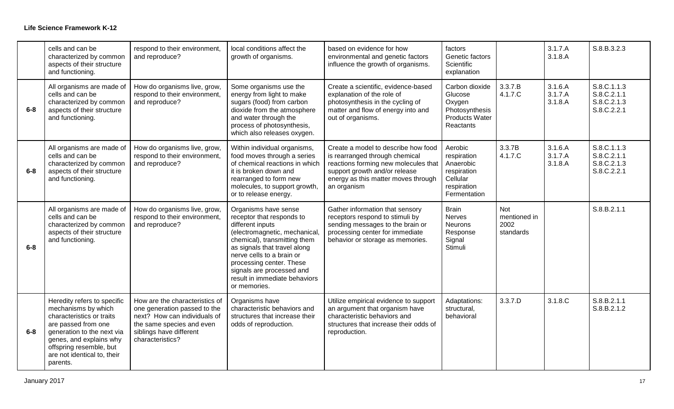|         | cells and can be<br>characterized by common<br>aspects of their structure<br>and functioning.                                                                                                                                         | respond to their environment,<br>and reproduce?                                                                                                                            | local conditions affect the<br>growth of organisms.                                                                                                                                                                                                                                                          | based on evidence for how<br>environmental and genetic factors<br>influence the growth of organisms.                                                                                                 | factors<br>Genetic factors<br>Scientific<br>explanation                                       |                                          | 3.1.7.A<br>3.1.8.A            | S.8.B.3.2.3                                              |
|---------|---------------------------------------------------------------------------------------------------------------------------------------------------------------------------------------------------------------------------------------|----------------------------------------------------------------------------------------------------------------------------------------------------------------------------|--------------------------------------------------------------------------------------------------------------------------------------------------------------------------------------------------------------------------------------------------------------------------------------------------------------|------------------------------------------------------------------------------------------------------------------------------------------------------------------------------------------------------|-----------------------------------------------------------------------------------------------|------------------------------------------|-------------------------------|----------------------------------------------------------|
| $6 - 8$ | All organisms are made of<br>cells and can be<br>characterized by common<br>aspects of their structure<br>and functioning.                                                                                                            | How do organisms live, grow,<br>respond to their environment,<br>and reproduce?                                                                                            | Some organisms use the<br>energy from light to make<br>sugars (food) from carbon<br>dioxide from the atmosphere<br>and water through the<br>process of photosynthesis,<br>which also releases oxygen.                                                                                                        | Create a scientific, evidence-based<br>explanation of the role of<br>photosynthesis in the cycling of<br>matter and flow of energy into and<br>out of organisms.                                     | Carbon dioxide<br>Glucose<br>Oxygen<br>Photosynthesis<br><b>Products Water</b><br>Reactants   | 3.3.7.B<br>4.1.7.C                       | 3.1.6.A<br>3.1.7.A<br>3.1.8.A | S.8.C.1.1.3<br>S.8.C.2.1.1<br>S.8.C.2.1.3<br>S.8.C.2.2.1 |
| $6 - 8$ | All organisms are made of<br>cells and can be<br>characterized by common<br>aspects of their structure<br>and functioning.                                                                                                            | How do organisms live, grow,<br>respond to their environment,<br>and reproduce?                                                                                            | Within individual organisms,<br>food moves through a series<br>of chemical reactions in which<br>it is broken down and<br>rearranged to form new<br>molecules, to support growth,<br>or to release energy.                                                                                                   | Create a model to describe how food<br>is rearranged through chemical<br>reactions forming new molecules that<br>support growth and/or release<br>energy as this matter moves through<br>an organism | Aerobic<br>respiration<br>Anaerobic<br>respiration<br>Cellular<br>respiration<br>Fermentation | 3.3.7B<br>4.1.7.C                        | 3.1.6.A<br>3.1.7.A<br>3.1.8.A | S.8.C.1.1.3<br>S.8.C.2.1.1<br>S.8.C.2.1.3<br>S.8.C.2.2.1 |
| $6-8$   | All organisms are made of<br>cells and can be<br>characterized by common<br>aspects of their structure<br>and functioning.                                                                                                            | How do organisms live, grow,<br>respond to their environment,<br>and reproduce?                                                                                            | Organisms have sense<br>receptor that responds to<br>different inputs<br>(electromagnetic, mechanical<br>chemical), transmitting them<br>as signals that travel along<br>nerve cells to a brain or<br>processing center. These<br>signals are processed and<br>result in immediate behaviors<br>or memories. | Gather information that sensory<br>receptors respond to stimuli by<br>sending messages to the brain or<br>processing center for immediate<br>behavior or storage as memories.                        | <b>Brain</b><br><b>Nerves</b><br><b>Neurons</b><br>Response<br>Signal<br>Stimuli              | Not<br>mentioned in<br>2002<br>standards |                               | S.8.B.2.1.1                                              |
| $6 - 8$ | Heredity refers to specific<br>mechanisms by which<br>characteristics or traits<br>are passed from one<br>generation to the next via<br>genes, and explains why<br>offspring resemble, but<br>are not identical to, their<br>parents. | How are the characteristics of<br>one generation passed to the<br>next? How can individuals of<br>the same species and even<br>siblings have different<br>characteristics? | Organisms have<br>characteristic behaviors and<br>structures that increase their<br>odds of reproduction.                                                                                                                                                                                                    | Utilize empirical evidence to support<br>an argument that organism have<br>characteristic behaviors and<br>structures that increase their odds of<br>reproduction.                                   | Adaptations:<br>structural,<br>behavioral                                                     | 3.3.7.D                                  | 3.1.8.C                       | S.8.B.2.1.1<br>S.8.B.2.1.2                               |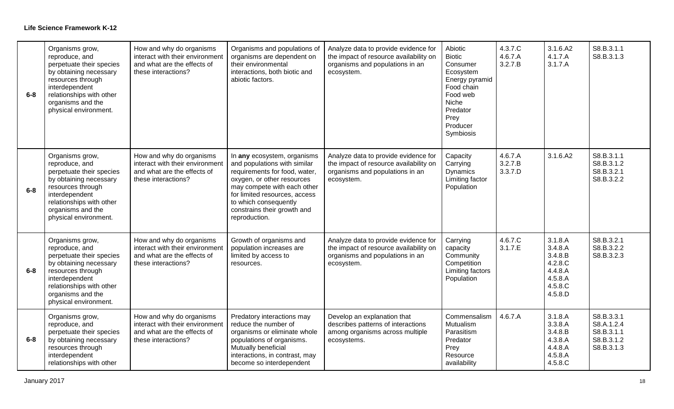| $6 - 8$ | Organisms grow,<br>reproduce, and<br>perpetuate their species<br>by obtaining necessary<br>resources through<br>interdependent<br>relationships with other<br>organisms and the<br>physical environment. | How and why do organisms<br>interact with their environment<br>and what are the effects of<br>these interactions? | Organisms and populations of<br>organisms are dependent on<br>their environmental<br>interactions, both biotic and<br>abiotic factors.                                                                                                                              | Analyze data to provide evidence for<br>the impact of resource availability on<br>organisms and populations in an<br>ecosystem. | Abiotic<br><b>Biotic</b><br>Consumer<br>Ecosystem<br>Energy pyramid<br>Food chain<br>Food web<br>Niche<br>Predator<br>Prey<br>Producer<br>Symbiosis | 4.3.7.C<br>4.6.7.A<br>3.2.7.B | 3.1.6.A2<br>4.1.7.A<br>3.1.7.A                                                       | S8.B.3.1.1<br>S8.B.3.1.3                                           |
|---------|----------------------------------------------------------------------------------------------------------------------------------------------------------------------------------------------------------|-------------------------------------------------------------------------------------------------------------------|---------------------------------------------------------------------------------------------------------------------------------------------------------------------------------------------------------------------------------------------------------------------|---------------------------------------------------------------------------------------------------------------------------------|-----------------------------------------------------------------------------------------------------------------------------------------------------|-------------------------------|--------------------------------------------------------------------------------------|--------------------------------------------------------------------|
| $6 - 8$ | Organisms grow,<br>reproduce, and<br>perpetuate their species<br>by obtaining necessary<br>resources through<br>interdependent<br>relationships with other<br>organisms and the<br>physical environment. | How and why do organisms<br>interact with their environment<br>and what are the effects of<br>these interactions? | In any ecosystem, organisms<br>and populations with similar<br>requirements for food, water,<br>oxygen, or other resources<br>may compete with each other<br>for limited resources, access<br>to which consequently<br>constrains their growth and<br>reproduction. | Analyze data to provide evidence for<br>the impact of resource availability on<br>organisms and populations in an<br>ecosystem. | Capacity<br>Carrying<br><b>Dynamics</b><br>Limiting factor<br>Population                                                                            | 4.6.7.A<br>3.2.7.B<br>3.3.7.D | 3.1.6.A2                                                                             | S8.B.3.1.1<br>S8.B.3.1.2<br>S8.B.3.2.1<br>S8.B.3.2.2               |
| $6-8$   | Organisms grow,<br>reproduce, and<br>perpetuate their species<br>by obtaining necessary<br>resources through<br>interdependent<br>relationships with other<br>organisms and the<br>physical environment. | How and why do organisms<br>interact with their environment<br>and what are the effects of<br>these interactions? | Growth of organisms and<br>population increases are<br>limited by access to<br>resources.                                                                                                                                                                           | Analyze data to provide evidence for<br>the impact of resource availability on<br>organisms and populations in an<br>ecosystem. | Carrying<br>capacity<br>Community<br>Competition<br>Limiting factors<br>Population                                                                  | 4.6.7.C<br>3.1.7.E            | 3.1.8.A<br>3.4.8.A<br>3.4.8.B<br>4.2.8.C<br>4.4.8.A<br>4.5.8.A<br>4.5.8.C<br>4.5.8.D | S8.B.3.2.1<br>S8.B.3.2.2<br>S8.B.3.2.3                             |
| $6 - 8$ | Organisms grow,<br>reproduce, and<br>perpetuate their species<br>by obtaining necessary<br>resources through<br>interdependent<br>relationships with other                                               | How and why do organisms<br>interact with their environment<br>and what are the effects of<br>these interactions? | Predatory interactions may<br>reduce the number of<br>organisms or eliminate whole<br>populations of organisms.<br>Mutually beneficial<br>interactions, in contrast, may<br>become so interdependent                                                                | Develop an explanation that<br>describes patterns of interactions<br>among organisms across multiple<br>ecosystems.             | Commensalism<br>Mutualism<br>Parasitism<br>Predator<br>Prey<br>Resource<br>availability                                                             | 4.6.7.A                       | 3.1.8.A<br>3.3.8.A<br>3.4.8.B<br>4.3.8.A<br>4.4.8.A<br>4.5.8.A<br>4.5.8.C            | S8.B.3.3.1<br>S8.A.1.2.4<br>S8.B.3.1.1<br>S8.B.3.1.2<br>S8.B.3.1.3 |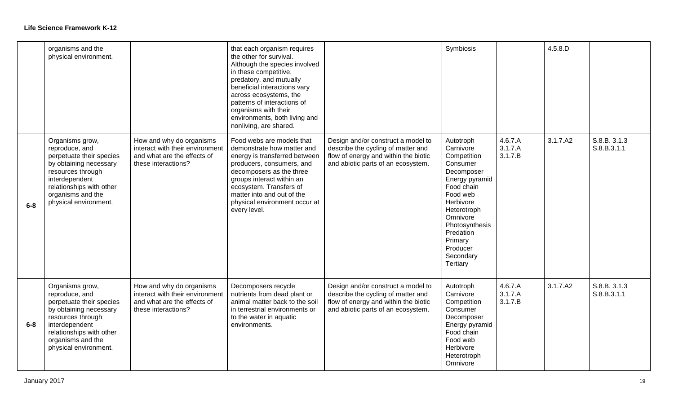|         | organisms and the<br>physical environment.                                                                                                                                                               |                                                                                                                   | that each organism requires<br>the other for survival.<br>Although the species involved<br>in these competitive,<br>predatory, and mutually<br>beneficial interactions vary<br>across ecosystems, the<br>patterns of interactions of<br>organisms with their<br>environments, both living and<br>nonliving, are shared. |                                                                                                                                                        | Symbiosis                                                                                                                                                                                                                          |                               | 4.5.8.D  |                             |
|---------|----------------------------------------------------------------------------------------------------------------------------------------------------------------------------------------------------------|-------------------------------------------------------------------------------------------------------------------|-------------------------------------------------------------------------------------------------------------------------------------------------------------------------------------------------------------------------------------------------------------------------------------------------------------------------|--------------------------------------------------------------------------------------------------------------------------------------------------------|------------------------------------------------------------------------------------------------------------------------------------------------------------------------------------------------------------------------------------|-------------------------------|----------|-----------------------------|
| $6-8$   | Organisms grow,<br>reproduce, and<br>perpetuate their species<br>by obtaining necessary<br>resources through<br>interdependent<br>relationships with other<br>organisms and the<br>physical environment. | How and why do organisms<br>interact with their environment<br>and what are the effects of<br>these interactions? | Food webs are models that<br>demonstrate how matter and<br>energy is transferred between<br>producers, consumers, and<br>decomposers as the three<br>groups interact within an<br>ecosystem. Transfers of<br>matter into and out of the<br>physical environment occur at<br>every level.                                | Design and/or construct a model to<br>describe the cycling of matter and<br>flow of energy and within the biotic<br>and abiotic parts of an ecosystem. | Autotroph<br>Carnivore<br>Competition<br>Consumer<br>Decomposer<br>Energy pyramid<br>Food chain<br>Food web<br>Herbivore<br>Heterotroph<br>Omnivore<br>Photosynthesis<br>Predation<br>Primary<br>Producer<br>Secondary<br>Tertiary | 4.6.7.A<br>3.1.7.A<br>3.1.7.B | 3.1.7.A2 | S.8.B. 3.1.3<br>S.8.B.3.1.1 |
| $6 - 8$ | Organisms grow,<br>reproduce, and<br>perpetuate their species<br>by obtaining necessary<br>resources through<br>interdependent<br>relationships with other<br>organisms and the<br>physical environment. | How and why do organisms<br>interact with their environment<br>and what are the effects of<br>these interactions? | Decomposers recycle<br>nutrients from dead plant or<br>animal matter back to the soil<br>in terrestrial environments or<br>to the water in aquatic<br>environments.                                                                                                                                                     | Design and/or construct a model to<br>describe the cycling of matter and<br>flow of energy and within the biotic<br>and abiotic parts of an ecosystem. | Autotroph<br>Carnivore<br>Competition<br>Consumer<br>Decomposer<br>Energy pyramid<br>Food chain<br>Food web<br>Herbivore<br>Heterotroph<br>Omnivore                                                                                | 4.6.7.A<br>3.1.7.A<br>3.1.7.B | 3.1.7.A2 | S.8.B. 3.1.3<br>S.8.B.3.1.1 |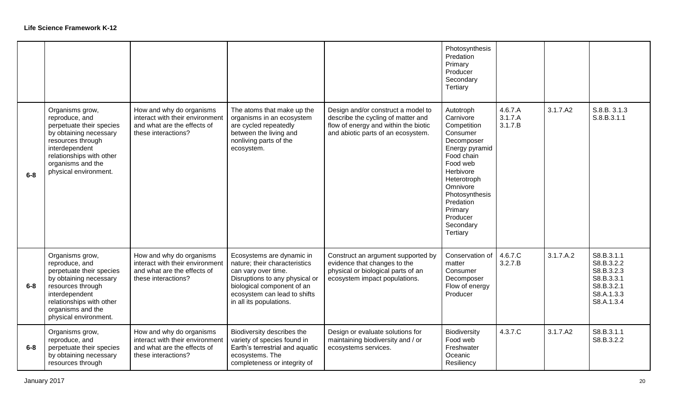|         |                                                                                                                                                                                                          |                                                                                                                   |                                                                                                                                                                                                              |                                                                                                                                                        | Photosynthesis<br>Predation<br>Primary<br>Producer<br>Secondary<br>Tertiary                                                                                                                                                        |                               |           |                                                                                                |
|---------|----------------------------------------------------------------------------------------------------------------------------------------------------------------------------------------------------------|-------------------------------------------------------------------------------------------------------------------|--------------------------------------------------------------------------------------------------------------------------------------------------------------------------------------------------------------|--------------------------------------------------------------------------------------------------------------------------------------------------------|------------------------------------------------------------------------------------------------------------------------------------------------------------------------------------------------------------------------------------|-------------------------------|-----------|------------------------------------------------------------------------------------------------|
| $6-8$   | Organisms grow,<br>reproduce, and<br>perpetuate their species<br>by obtaining necessary<br>resources through<br>interdependent<br>relationships with other<br>organisms and the<br>physical environment. | How and why do organisms<br>interact with their environment<br>and what are the effects of<br>these interactions? | The atoms that make up the<br>organisms in an ecosystem<br>are cycled repeatedly<br>between the living and<br>nonliving parts of the<br>ecosystem.                                                           | Design and/or construct a model to<br>describe the cycling of matter and<br>flow of energy and within the biotic<br>and abiotic parts of an ecosystem. | Autotroph<br>Carnivore<br>Competition<br>Consumer<br>Decomposer<br>Energy pyramid<br>Food chain<br>Food web<br>Herbivore<br>Heterotroph<br>Omnivore<br>Photosynthesis<br>Predation<br>Primary<br>Producer<br>Secondary<br>Tertiary | 4.6.7.A<br>3.1.7.A<br>3.1.7.B | 3.1.7.A2  | S.8.B. 3.1.3<br>S.8.B.3.1.1                                                                    |
| $6 - 8$ | Organisms grow,<br>reproduce, and<br>perpetuate their species<br>by obtaining necessary<br>resources through<br>interdependent<br>relationships with other<br>organisms and the<br>physical environment. | How and why do organisms<br>interact with their environment<br>and what are the effects of<br>these interactions? | Ecosystems are dynamic in<br>nature; their characteristics<br>can vary over time.<br>Disruptions to any physical or<br>biological component of an<br>ecosystem can lead to shifts<br>in all its populations. | Construct an argument supported by<br>evidence that changes to the<br>physical or biological parts of an<br>ecosystem impact populations.              | Conservation of<br>matter<br>Consumer<br>Decomposer<br>Flow of energy<br>Producer                                                                                                                                                  | 4.6.7.C<br>3.2.7.B            | 3.1.7.A.2 | S8.B.3.1.1<br>S8.B.3.2.2<br>S8.B.3.2.3<br>S8.B.3.3.1<br>S8.B.3.2.1<br>S8.A.1.3.3<br>S8.A.1.3.4 |
| $6-8$   | Organisms grow,<br>reproduce, and<br>perpetuate their species<br>by obtaining necessary<br>resources through                                                                                             | How and why do organisms<br>interact with their environment<br>and what are the effects of<br>these interactions? | Biodiversity describes the<br>variety of species found in<br>Earth's terrestrial and aquatic<br>ecosystems. The<br>completeness or integrity of                                                              | Design or evaluate solutions for<br>maintaining biodiversity and / or<br>ecosystems services.                                                          | Biodiversity<br>Food web<br>Freshwater<br>Oceanic<br>Resiliency                                                                                                                                                                    | 4.3.7.C                       | 3.1.7.A2  | S8.B.3.1.1<br>S8.B.3.2.2                                                                       |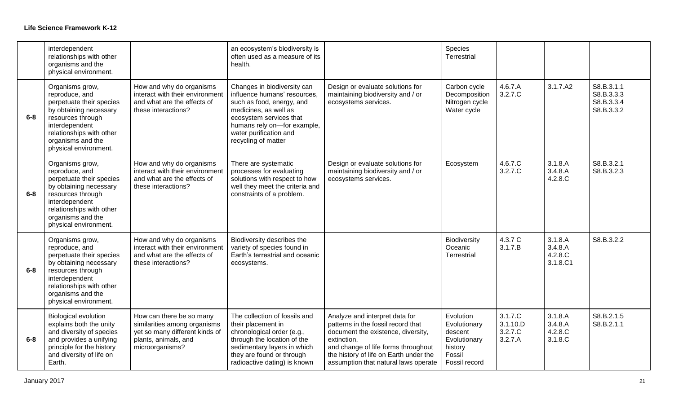|       | interdependent<br>relationships with other<br>organisms and the<br>physical environment.                                                                                                                 |                                                                                                                                       | an ecosystem's biodiversity is<br>often used as a measure of its<br>health.                                                                                                                                                  |                                                                                                                                                                                                                                                    | Species<br>Terrestrial                                                                     |                                           |                                           |                                                      |
|-------|----------------------------------------------------------------------------------------------------------------------------------------------------------------------------------------------------------|---------------------------------------------------------------------------------------------------------------------------------------|------------------------------------------------------------------------------------------------------------------------------------------------------------------------------------------------------------------------------|----------------------------------------------------------------------------------------------------------------------------------------------------------------------------------------------------------------------------------------------------|--------------------------------------------------------------------------------------------|-------------------------------------------|-------------------------------------------|------------------------------------------------------|
| $6-8$ | Organisms grow,<br>reproduce, and<br>perpetuate their species<br>by obtaining necessary<br>resources through<br>interdependent<br>relationships with other<br>organisms and the<br>physical environment. | How and why do organisms<br>interact with their environment<br>and what are the effects of<br>these interactions?                     | Changes in biodiversity can<br>influence humans' resources,<br>such as food, energy, and<br>medicines, as well as<br>ecosystem services that<br>humans rely on-for example,<br>water purification and<br>recycling of matter | Design or evaluate solutions for<br>maintaining biodiversity and / or<br>ecosystems services.                                                                                                                                                      | Carbon cycle<br>Decomposition<br>Nitrogen cycle<br>Water cycle                             | 4.6.7.A<br>3.2.7.C                        | 3.1.7.A2                                  | S8.B.3.1.1<br>S8.B.3.3.3<br>S8.B.3.3.4<br>S8.B.3.3.2 |
| $6-8$ | Organisms grow,<br>reproduce, and<br>perpetuate their species<br>by obtaining necessary<br>resources through<br>interdependent<br>relationships with other<br>organisms and the<br>physical environment. | How and why do organisms<br>interact with their environment<br>and what are the effects of<br>these interactions?                     | There are systematic<br>processes for evaluating<br>solutions with respect to how<br>well they meet the criteria and<br>constraints of a problem.                                                                            | Design or evaluate solutions for<br>maintaining biodiversity and / or<br>ecosystems services.                                                                                                                                                      | Ecosystem                                                                                  | 4.6.7.C<br>3.2.7.C                        | 3.1.8.A<br>3.4.8.A<br>4.2.8.C             | S8.B.3.2.1<br>S8.B.3.2.3                             |
| $6-8$ | Organisms grow,<br>reproduce, and<br>perpetuate their species<br>by obtaining necessary<br>resources through<br>interdependent<br>relationships with other<br>organisms and the<br>physical environment. | How and why do organisms<br>interact with their environment<br>and what are the effects of<br>these interactions?                     | Biodiversity describes the<br>variety of species found in<br>Earth's terrestrial and oceanic<br>ecosystems.                                                                                                                  |                                                                                                                                                                                                                                                    | Biodiversity<br>Oceanic<br>Terrestrial                                                     | 4.3.7 C<br>3.1.7.B                        | 3.1.8.A<br>3.4.8.A<br>4.2.8.C<br>3.1.8.C1 | S8.B.3.2.2                                           |
| $6-8$ | <b>Biological evolution</b><br>explains both the unity<br>and diversity of species<br>and provides a unifying<br>principle for the history<br>and diversity of life on<br>Earth.                         | How can there be so many<br>similarities among organisms<br>yet so many different kinds of<br>plants, animals, and<br>microorganisms? | The collection of fossils and<br>their placement in<br>chronological order (e.g.,<br>through the location of the<br>sedimentary layers in which<br>they are found or through<br>radioactive dating) is known                 | Analyze and interpret data for<br>patterns in the fossil record that<br>document the existence, diversity,<br>extinction,<br>and change of life forms throughout<br>the history of life on Earth under the<br>assumption that natural laws operate | Evolution<br>Evolutionary<br>descent<br>Evolutionary<br>history<br>Fossil<br>Fossil record | 3.1.7.C<br>3.1.10.D<br>3.2.7.C<br>3.2.7.A | 3.1.8.A<br>3.4.8.A<br>4.2.8.C<br>3.1.8.C  | S8.B.2.1.5<br>S8.B.2.1.1                             |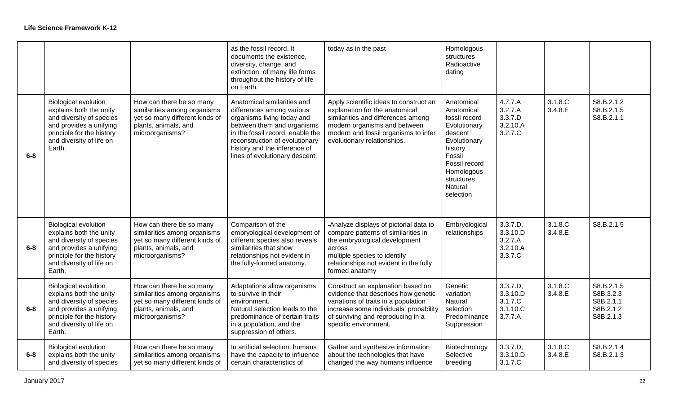|         |                                                                                                                                                                                  |                                                                                                                                       | as the fossil record. It<br>documents the existence,<br>diversity, change, and<br>extinction, of many life forms<br>throughout the history of life<br>on Earth.                                                                                              | today as in the past                                                                                                                                                                                                     | Homologous<br>structures<br>Radioactive<br>dating                                                                                                                                     |                                                                     |                    |                                                                |
|---------|----------------------------------------------------------------------------------------------------------------------------------------------------------------------------------|---------------------------------------------------------------------------------------------------------------------------------------|--------------------------------------------------------------------------------------------------------------------------------------------------------------------------------------------------------------------------------------------------------------|--------------------------------------------------------------------------------------------------------------------------------------------------------------------------------------------------------------------------|---------------------------------------------------------------------------------------------------------------------------------------------------------------------------------------|---------------------------------------------------------------------|--------------------|----------------------------------------------------------------|
| $6-8$   | <b>Biological evolution</b><br>explains both the unity<br>and diversity of species<br>and provides a unifying<br>principle for the history<br>and diversity of life on<br>Earth. | How can there be so many<br>similarities among organisms<br>yet so many different kinds of<br>plants, animals, and<br>microorganisms? | Anatomical similarities and<br>differences among various<br>organisms living today and<br>between them and organisms<br>in the fossil record, enable the<br>reconstruction of evolutionary<br>history and the inference of<br>lines of evolutionary descent. | Apply scientific ideas to construct an<br>explanation for the anatomical<br>similarities and differences among<br>modern organisms and between<br>modern and fossil organisms to infer<br>evolutionary relationships.    | Anatomical<br>Anatomical<br>fossil record<br>Evolutionary<br>descent<br>Evolutionary<br>history<br>Fossil<br>Fossil record<br>Homologous<br>structures<br><b>Natural</b><br>selection | 4.7.7.A<br>3.2.7.A<br>3.3.7.D<br>3.2.10.A<br>3.2.7.C                | 3.1.8.C<br>3.4.8.E | S8.B.2.1.2<br>S8.B.2.1.5<br>S8.B.2.1.1                         |
| $6 - 8$ | <b>Biological evolution</b><br>explains both the unity<br>and diversity of species<br>and provides a unifying<br>principle for the history<br>and diversity of life on<br>Earth. | How can there be so many<br>similarities among organisms<br>yet so many different kinds of<br>plants, animals, and<br>microorganisms? | Comparison of the<br>embryological development of<br>different species also reveals<br>similarities that show<br>relationships not evident in<br>the fully-formed anatomy.                                                                                   | -Analyze displays of pictorial data to<br>compare patterns of similarities in<br>the embryological development<br>across<br>multiple species to identify<br>relationships not evident in the fully<br>formed anatomy     | Embryological<br>relationships                                                                                                                                                        | 3.3.7.D,<br>3.3.10.D<br>3.2.7.A<br>3.2.10.A<br>3.3.7.C              | 3.1.8.C<br>3.4.8.E | S8.B.2.1.5                                                     |
| $6 - 8$ | <b>Biological evolution</b><br>explains both the unity<br>and diversity of species<br>and provides a unifying<br>principle for the history<br>and diversity of life on<br>Earth. | How can there be so many<br>similarities among organisms<br>yet so many different kinds of<br>plants, animals, and<br>microorganisms? | Adaptations allow organisms<br>to survive in their<br>environment.<br>Natural selection leads to the<br>predominance of certain traits<br>in a population, and the<br>suppression of others.                                                                 | Construct an explanation based on<br>evidence that describes how genetic<br>variations of traits in a population<br>increase some individuals' probability<br>of surviving and reproducing in a<br>specific environment. | Genetic<br>variation<br>Natural<br>selection<br>Predominance<br>Suppression                                                                                                           | 3.3.7.D,<br>3.3.10.D<br>3.1.7.C<br>3.1.10 <sub>.</sub> C<br>3.7.7.A | 3.1.8.C<br>3.4.8.E | S8.B.2.1.5<br>S8B.3.2.3<br>S8B.2.1.1<br>S8B.2.1.2<br>S8B.2.1.3 |
| $6-8$   | <b>Biological evolution</b><br>explains both the unity<br>and diversity of species                                                                                               | How can there be so many<br>similarities among organisms<br>yet so many different kinds of                                            | In artificial selection, humans<br>have the capacity to influence<br>certain characteristics of                                                                                                                                                              | Gather and synthesize information<br>about the technologies that have<br>changed the way humans influence                                                                                                                | Biotechnology<br>Selective<br>breeding                                                                                                                                                | 3.3.7.D.<br>3.3.10.D<br>3.1.7.C                                     | 3.1.8.C<br>3.4.8.E | S8.B.2.1.4<br>S8.B.2.1.3                                       |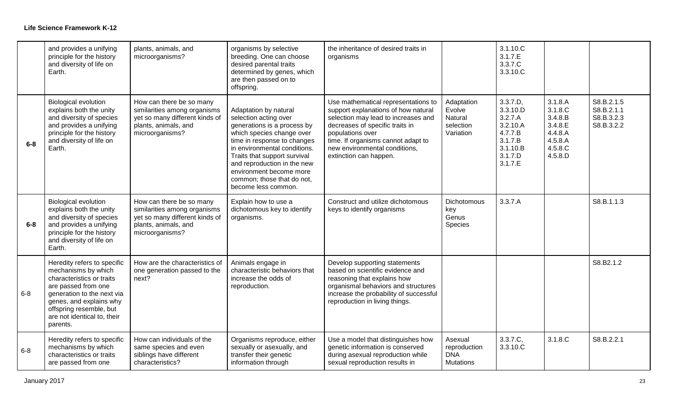|         | and provides a unifying<br>principle for the history<br>and diversity of life on<br>Earth.                                                                                                                                            | plants, animals, and<br>microorganisms?                                                                                               | organisms by selective<br>breeding. One can choose<br>desired parental traits<br>determined by genes, which<br>are then passed on to<br>offspring.                                                                                                                                                                       | the inheritance of desired traits in<br>organisms                                                                                                                                                                                                                         |                                                           | 3.1.10.C<br>3.1.7.E<br>3.3.7.C<br>3.3.10.C                                                          |                                                                                      |                                                      |
|---------|---------------------------------------------------------------------------------------------------------------------------------------------------------------------------------------------------------------------------------------|---------------------------------------------------------------------------------------------------------------------------------------|--------------------------------------------------------------------------------------------------------------------------------------------------------------------------------------------------------------------------------------------------------------------------------------------------------------------------|---------------------------------------------------------------------------------------------------------------------------------------------------------------------------------------------------------------------------------------------------------------------------|-----------------------------------------------------------|-----------------------------------------------------------------------------------------------------|--------------------------------------------------------------------------------------|------------------------------------------------------|
| $6-8$   | <b>Biological evolution</b><br>explains both the unity<br>and diversity of species<br>and provides a unifying<br>principle for the history<br>and diversity of life on<br>Earth.                                                      | How can there be so many<br>similarities among organisms<br>yet so many different kinds of<br>plants, animals, and<br>microorganisms? | Adaptation by natural<br>selection acting over<br>generations is a process by<br>which species change over<br>time in response to changes<br>in environmental conditions.<br>Traits that support survival<br>and reproduction in the new<br>environment become more<br>common; those that do not,<br>become less common. | Use mathematical representations to<br>support explanations of how natural<br>selection may lead to increases and<br>decreases of specific traits in<br>populations over<br>time. If organisms cannot adapt to<br>new environmental conditions,<br>extinction can happen. | Adaptation<br>Evolve<br>Natural<br>selection<br>Variation | 3.3.7.D,<br>3.3.10.D<br>3.2.7.A<br>3.2.10.A<br>4.7.7.B<br>3.1.7.B<br>3.1.10.B<br>3.1.7.D<br>3.1.7.E | 3.1.8.A<br>3.1.8.C<br>3.4.8.B<br>3.4.8.E<br>4.4.8.A<br>4.5.8.A<br>4.5.8.C<br>4.5.8.D | S8.B.2.1.5<br>S8.B.2.1.1<br>S8.B.3.2.3<br>S8.B.3.2.2 |
| $6 - 8$ | <b>Biological evolution</b><br>explains both the unity<br>and diversity of species<br>and provides a unifying<br>principle for the history<br>and diversity of life on<br>Earth.                                                      | How can there be so many<br>similarities among organisms<br>yet so many different kinds of<br>plants, animals, and<br>microorganisms? | Explain how to use a<br>dichotomous key to identify<br>organisms.                                                                                                                                                                                                                                                        | Construct and utilize dichotomous<br>keys to identify organisms                                                                                                                                                                                                           | Dichotomous<br>key<br>Genus<br>Species                    | 3.3.7.A                                                                                             |                                                                                      | S8.B.1.1.3                                           |
| $6 - 8$ | Heredity refers to specific<br>mechanisms by which<br>characteristics or traits<br>are passed from one<br>generation to the next via<br>genes, and explains why<br>offspring resemble, but<br>are not identical to, their<br>parents. | How are the characteristics of<br>one generation passed to the<br>next?                                                               | Animals engage in<br>characteristic behaviors that<br>increase the odds of<br>reproduction.                                                                                                                                                                                                                              | Develop supporting statements<br>based on scientific evidence and<br>reasoning that explains how<br>organismal behaviors and structures<br>increase the probability of successful<br>reproduction in living things.                                                       |                                                           |                                                                                                     |                                                                                      | S8.B2.1.2                                            |
| $6 - 8$ | Heredity refers to specific<br>mechanisms by which<br>characteristics or traits<br>are passed from one                                                                                                                                | How can individuals of the<br>same species and even<br>siblings have different<br>characteristics?                                    | Organisms reproduce, either<br>sexually or asexually, and<br>transfer their genetic<br>information through                                                                                                                                                                                                               | Use a model that distinguishes how<br>genetic information is conserved<br>during asexual reproduction while<br>sexual reproduction results in                                                                                                                             | Asexual<br>reproduction<br><b>DNA</b><br><b>Mutations</b> | 3.3.7.C.<br>3.3.10.C                                                                                | 3.1.8.C                                                                              | S8.B.2.2.1                                           |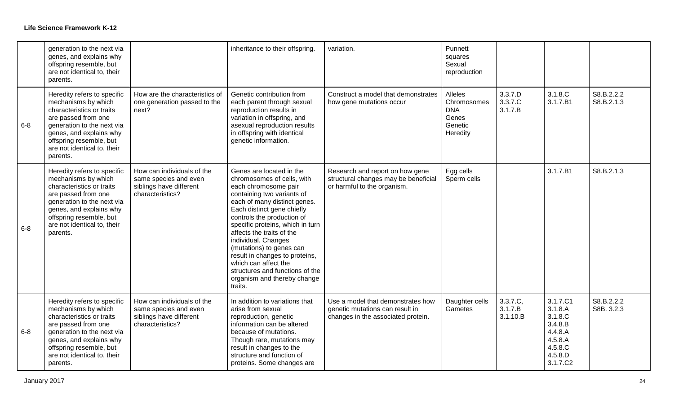|         | generation to the next via<br>genes, and explains why<br>offspring resemble, but<br>are not identical to, their<br>parents.                                                                                                           |                                                                                                    | inheritance to their offspring.                                                                                                                                                                                                                                                                                                                                                                                                                                     | variation.                                                                                                 | Punnett<br>squares<br>Sexual<br>reproduction                                |                                 |                                                                                                   |                          |
|---------|---------------------------------------------------------------------------------------------------------------------------------------------------------------------------------------------------------------------------------------|----------------------------------------------------------------------------------------------------|---------------------------------------------------------------------------------------------------------------------------------------------------------------------------------------------------------------------------------------------------------------------------------------------------------------------------------------------------------------------------------------------------------------------------------------------------------------------|------------------------------------------------------------------------------------------------------------|-----------------------------------------------------------------------------|---------------------------------|---------------------------------------------------------------------------------------------------|--------------------------|
| $6 - 8$ | Heredity refers to specific<br>mechanisms by which<br>characteristics or traits<br>are passed from one<br>generation to the next via<br>genes, and explains why<br>offspring resemble, but<br>are not identical to, their<br>parents. | How are the characteristics of<br>one generation passed to the<br>next?                            | Genetic contribution from<br>each parent through sexual<br>reproduction results in<br>variation in offspring, and<br>asexual reproduction results<br>in offspring with identical<br>genetic information.                                                                                                                                                                                                                                                            | Construct a model that demonstrates<br>how gene mutations occur                                            | <b>Alleles</b><br>Chromosomes<br><b>DNA</b><br>Genes<br>Genetic<br>Heredity | 3.3.7.D<br>3.3.7.C<br>3.1.7.B   | 3.1.8.C<br>3.1.7.B1                                                                               | S8.B.2.2.2<br>S8.B.2.1.3 |
| $6 - 8$ | Heredity refers to specific<br>mechanisms by which<br>characteristics or traits<br>are passed from one<br>generation to the next via<br>genes, and explains why<br>offspring resemble, but<br>are not identical to, their<br>parents. | How can individuals of the<br>same species and even<br>siblings have different<br>characteristics? | Genes are located in the<br>chromosomes of cells, with<br>each chromosome pair<br>containing two variants of<br>each of many distinct genes.<br>Each distinct gene chiefly<br>controls the production of<br>specific proteins, which in turn<br>affects the traits of the<br>individual. Changes<br>(mutations) to genes can<br>result in changes to proteins,<br>which can affect the<br>structures and functions of the<br>organism and thereby change<br>traits. | Research and report on how gene<br>structural changes may be beneficial<br>or harmful to the organism.     | Egg cells<br>Sperm cells                                                    |                                 | 3.1.7.B1                                                                                          | S8.B.2.1.3               |
| $6 - 8$ | Heredity refers to specific<br>mechanisms by which<br>characteristics or traits<br>are passed from one<br>generation to the next via<br>genes, and explains why<br>offspring resemble, but<br>are not identical to, their<br>parents. | How can individuals of the<br>same species and even<br>siblings have different<br>characteristics? | In addition to variations that<br>arise from sexual<br>reproduction, genetic<br>information can be altered<br>because of mutations.<br>Though rare, mutations may<br>result in changes to the<br>structure and function of<br>proteins. Some changes are                                                                                                                                                                                                            | Use a model that demonstrates how<br>genetic mutations can result in<br>changes in the associated protein. | Daughter cells<br>Gametes                                                   | 3.3.7.C.<br>3.1.7.B<br>3.1.10.B | 3.1.7.C1<br>3.1.8.A<br>3.1.8.C<br>3.4.8.B<br>4.4.8.A<br>4.5.8.A<br>4.5.8.C<br>4.5.8.D<br>3.1.7.C2 | S8.B.2.2.2<br>S8B. 3.2.3 |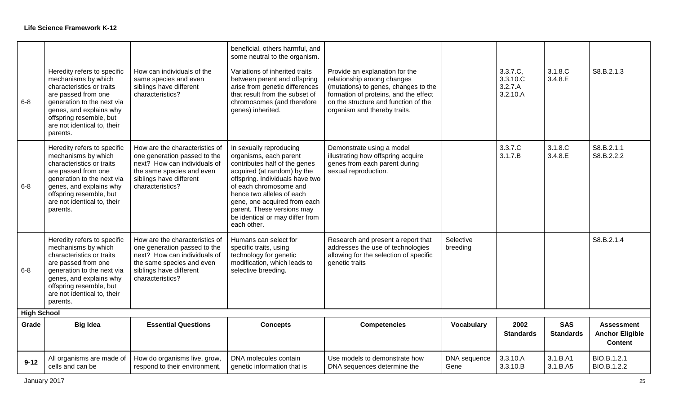|                    |                                                                                                                                                                                                                                       |                                                                                                                                                                            | beneficial, others harmful, and<br>some neutral to the organism.                                                                                                                                                                                                                                                            |                                                                                                                                                                                                                       |                       |                                             |                                |                                                               |
|--------------------|---------------------------------------------------------------------------------------------------------------------------------------------------------------------------------------------------------------------------------------|----------------------------------------------------------------------------------------------------------------------------------------------------------------------------|-----------------------------------------------------------------------------------------------------------------------------------------------------------------------------------------------------------------------------------------------------------------------------------------------------------------------------|-----------------------------------------------------------------------------------------------------------------------------------------------------------------------------------------------------------------------|-----------------------|---------------------------------------------|--------------------------------|---------------------------------------------------------------|
| $6 - 8$            | Heredity refers to specific<br>mechanisms by which<br>characteristics or traits<br>are passed from one<br>generation to the next via<br>genes, and explains why<br>offspring resemble, but<br>are not identical to, their<br>parents. | How can individuals of the<br>same species and even<br>siblings have different<br>characteristics?                                                                         | Variations of inherited traits<br>between parent and offspring<br>arise from genetic differences<br>that result from the subset of<br>chromosomes (and therefore<br>genes) inherited.                                                                                                                                       | Provide an explanation for the<br>relationship among changes<br>(mutations) to genes, changes to the<br>formation of proteins, and the effect<br>on the structure and function of the<br>organism and thereby traits. |                       | 3.3.7.C.<br>3.3.10.C<br>3.2.7.A<br>3.2.10.A | 3.1.8.C<br>3.4.8.E             | S8.B.2.1.3                                                    |
| $6 - 8$            | Heredity refers to specific<br>mechanisms by which<br>characteristics or traits<br>are passed from one<br>generation to the next via<br>genes, and explains why<br>offspring resemble, but<br>are not identical to, their<br>parents. | How are the characteristics of<br>one generation passed to the<br>next? How can individuals of<br>the same species and even<br>siblings have different<br>characteristics? | In sexually reproducing<br>organisms, each parent<br>contributes half of the genes<br>acquired (at random) by the<br>offspring. Individuals have two<br>of each chromosome and<br>hence two alleles of each<br>gene, one acquired from each<br>parent. These versions may<br>be identical or may differ from<br>each other. | Demonstrate using a model<br>illustrating how offspring acquire<br>genes from each parent during<br>sexual reproduction.                                                                                              |                       | 3.3.7.C<br>3.1.7.B                          | 3.1.8.C<br>3.4.8.E             | S8.B.2.1.1<br>S8.B.2.2.2                                      |
| $6 - 8$            | Heredity refers to specific<br>mechanisms by which<br>characteristics or traits<br>are passed from one<br>generation to the next via<br>genes, and explains why<br>offspring resemble, but<br>are not identical to, their<br>parents. | How are the characteristics of<br>one generation passed to the<br>next? How can individuals of<br>the same species and even<br>siblings have different<br>characteristics? | Humans can select for<br>specific traits, using<br>technology for genetic<br>modification, which leads to<br>selective breeding.                                                                                                                                                                                            | Research and present a report that<br>addresses the use of technologies<br>allowing for the selection of specific<br>genetic traits                                                                                   | Selective<br>breeding |                                             |                                | S8.B.2.1.4                                                    |
| <b>High School</b> |                                                                                                                                                                                                                                       |                                                                                                                                                                            |                                                                                                                                                                                                                                                                                                                             |                                                                                                                                                                                                                       |                       |                                             |                                |                                                               |
| Grade              | <b>Big Idea</b>                                                                                                                                                                                                                       | <b>Essential Questions</b>                                                                                                                                                 | <b>Concepts</b>                                                                                                                                                                                                                                                                                                             | <b>Competencies</b>                                                                                                                                                                                                   | Vocabulary            | 2002<br><b>Standards</b>                    | <b>SAS</b><br><b>Standards</b> | <b>Assessment</b><br><b>Anchor Eligible</b><br><b>Content</b> |
| $9 - 12$           | All organisms are made of<br>cells and can be                                                                                                                                                                                         | How do organisms live, grow,<br>respond to their environment,                                                                                                              | DNA molecules contain<br>genetic information that is                                                                                                                                                                                                                                                                        | Use models to demonstrate how<br>DNA sequences determine the                                                                                                                                                          | DNA sequence<br>Gene  | 3.3.10.A<br>3.3.10.B                        | 3.1.B.A1<br>3.1.B.A5           | BIO.B.1.2.1<br>BIO.B.1.2.2                                    |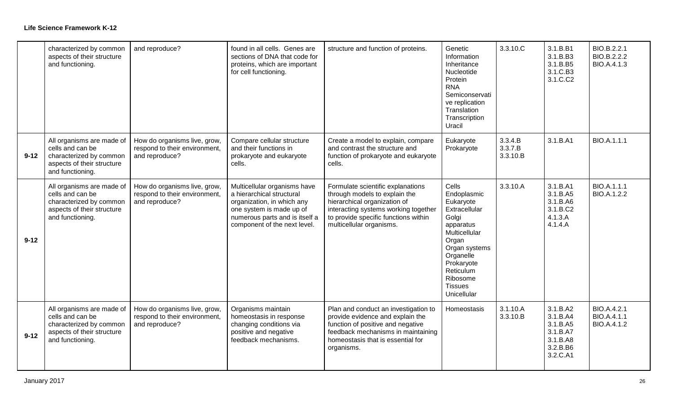|          | characterized by common<br>aspects of their structure<br>and functioning.                                                  | and reproduce?                                                                  | found in all cells. Genes are<br>sections of DNA that code for<br>proteins, which are important<br>for cell functioning.                                                              | structure and function of proteins.                                                                                                                                                                            | Genetic<br>Information<br>Inheritance<br>Nucleotide<br>Protein<br><b>RNA</b><br>Semiconservati<br>ve replication<br>Translation<br>Transcription<br>Uracil                                               | 3.3.10.C                       | 3.1.B.B1<br>3.1.B.B3<br>3.1.B.B5<br>3.1.C.B3<br>3.1.C.C2                         | BIO.B.2.2.1<br>BIO.B.2.2.2<br>BIO.A.4.1.3 |
|----------|----------------------------------------------------------------------------------------------------------------------------|---------------------------------------------------------------------------------|---------------------------------------------------------------------------------------------------------------------------------------------------------------------------------------|----------------------------------------------------------------------------------------------------------------------------------------------------------------------------------------------------------------|----------------------------------------------------------------------------------------------------------------------------------------------------------------------------------------------------------|--------------------------------|----------------------------------------------------------------------------------|-------------------------------------------|
| $9 - 12$ | All organisms are made of<br>cells and can be<br>characterized by common<br>aspects of their structure<br>and functioning. | How do organisms live, grow,<br>respond to their environment,<br>and reproduce? | Compare cellular structure<br>and their functions in<br>prokaryote and eukaryote<br>cells.                                                                                            | Create a model to explain, compare<br>and contrast the structure and<br>function of prokaryote and eukaryote<br>cells.                                                                                         | Eukaryote<br>Prokaryote                                                                                                                                                                                  | 3.3.4.B<br>3.3.7.B<br>3.3.10.B | 3.1.B.A1                                                                         | <b>BIO.A.1.1.1</b>                        |
| $9 - 12$ | All organisms are made of<br>cells and can be<br>characterized by common<br>aspects of their structure<br>and functioning. | How do organisms live, grow,<br>respond to their environment,<br>and reproduce? | Multicellular organisms have<br>a hierarchical structural<br>organization, in which any<br>one system is made up of<br>numerous parts and is itself a<br>component of the next level. | Formulate scientific explanations<br>through models to explain the<br>hierarchical organization of<br>interacting systems working together<br>to provide specific functions within<br>multicellular organisms. | Cells<br>Endoplasmic<br>Eukaryote<br>Extracellular<br>Golgi<br>apparatus<br>Multicellular<br>Organ<br>Organ systems<br>Organelle<br>Prokaryote<br>Reticulum<br>Ribosome<br><b>Tissues</b><br>Unicellular | 3.3.10.A                       | 3.1.B.A1<br>3.1.B.A5<br>3.1.B.A6<br>3.1.B.C2<br>4.1.3.A<br>4.1.4.A               | BIO.A.1.1.1<br>BIO.A.1.2.2                |
| $9 - 12$ | All organisms are made of<br>cells and can be<br>characterized by common<br>aspects of their structure<br>and functioning. | How do organisms live, grow,<br>respond to their environment,<br>and reproduce? | Organisms maintain<br>homeostasis in response<br>changing conditions via<br>positive and negative<br>feedback mechanisms.                                                             | Plan and conduct an investigation to<br>provide evidence and explain the<br>function of positive and negative<br>feedback mechanisms in maintaining<br>homeostasis that is essential for<br>organisms.         | Homeostasis                                                                                                                                                                                              | 3.1.10.A<br>3.3.10.B           | 3.1.B.A2<br>3.1.B.A4<br>3.1.B.A5<br>3.1.B.A7<br>3.1.B.A8<br>3.2.B.B6<br>3.2.C.A1 | BIO.A.4.2.1<br>BIO.A.4.1.1<br>BIO.A.4.1.2 |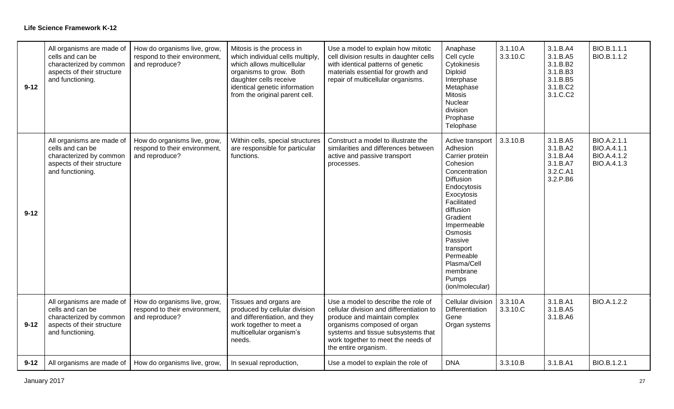| $9 - 12$ | All organisms are made of<br>cells and can be<br>characterized by common<br>aspects of their structure<br>and functioning. | How do organisms live, grow,<br>respond to their environment,<br>and reproduce? | Mitosis is the process in<br>which individual cells multiply,<br>which allows multicellular<br>organisms to grow. Both<br>daughter cells receive<br>identical genetic information<br>from the original parent cell. | Use a model to explain how mitotic<br>cell division results in daughter cells<br>with identical patterns of genetic<br>materials essential for growth and<br>repair of multicellular organisms.                                                    | Anaphase<br>Cell cycle<br>Cytokinesis<br><b>Diploid</b><br>Interphase<br>Metaphase<br><b>Mitosis</b><br>Nuclear<br>division<br>Prophase<br>Telophase                                                                                                                                 | 3.1.10.A<br>3.3.10.C | 3.1.B.A4<br>3.1.B.A5<br>3.1.B.B2<br>3.1.B.B3<br>3.1.B.B5<br>3.1.B.C2<br>3.1.C.C2 | BIO.B.1.1.1<br>BIO.B.1.1.2                                      |
|----------|----------------------------------------------------------------------------------------------------------------------------|---------------------------------------------------------------------------------|---------------------------------------------------------------------------------------------------------------------------------------------------------------------------------------------------------------------|----------------------------------------------------------------------------------------------------------------------------------------------------------------------------------------------------------------------------------------------------|--------------------------------------------------------------------------------------------------------------------------------------------------------------------------------------------------------------------------------------------------------------------------------------|----------------------|----------------------------------------------------------------------------------|-----------------------------------------------------------------|
| $9 - 12$ | All organisms are made of<br>cells and can be<br>characterized by common<br>aspects of their structure<br>and functioning. | How do organisms live, grow,<br>respond to their environment,<br>and reproduce? | Within cells, special structures<br>are responsible for particular<br>functions.                                                                                                                                    | Construct a model to illustrate the<br>similarities and differences between<br>active and passive transport<br>processes.                                                                                                                          | Active transport<br>Adhesion<br>Carrier protein<br>Cohesion<br>Concentration<br>Diffusion<br>Endocytosis<br>Exocytosis<br>Facilitated<br>diffusion<br>Gradient<br>Impermeable<br>Osmosis<br>Passive<br>transport<br>Permeable<br>Plasma/Cell<br>membrane<br>Pumps<br>(ion/molecular) | 3.3.10.B             | 3.1.B.A5<br>3.1.B.A2<br>3.1.B.A4<br>3.1.B.A7<br>3.2.C.A1<br>3.2.P.B6             | BIO.A.2.1.1<br>BIO.A.4.1.1<br>BIO.A.4.1.2<br><b>BIO.A.4.1.3</b> |
| $9 - 12$ | All organisms are made of<br>cells and can be<br>characterized by common<br>aspects of their structure<br>and functioning. | How do organisms live, grow,<br>respond to their environment,<br>and reproduce? | Tissues and organs are<br>produced by cellular division<br>and differentiation, and they<br>work together to meet a<br>multicellular organism's<br>needs.                                                           | Use a model to describe the role of<br>cellular division and differentiation to<br>produce and maintain complex<br>organisms composed of organ<br>systems and tissue subsystems that<br>work together to meet the needs of<br>the entire organism. | Cellular division<br>Differentiation<br>Gene<br>Organ systems                                                                                                                                                                                                                        | 3.3.10.A<br>3.3.10.C | 3.1.B.A1<br>3.1.B.A5<br>3.1.B.A6                                                 | <b>BIO.A.1.2.2</b>                                              |
| $9 - 12$ | All organisms are made of                                                                                                  | How do organisms live, grow,                                                    | In sexual reproduction,                                                                                                                                                                                             | Use a model to explain the role of                                                                                                                                                                                                                 | <b>DNA</b>                                                                                                                                                                                                                                                                           | 3.3.10.B             | 3.1.B.A1                                                                         | BIO.B.1.2.1                                                     |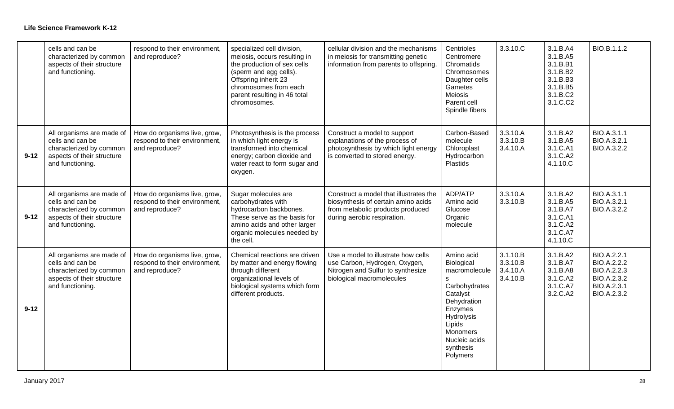|          | cells and can be<br>characterized by common<br>aspects of their structure<br>and functioning.                              | respond to their environment,<br>and reproduce?                                 | specialized cell division,<br>meiosis, occurs resulting in<br>the production of sex cells<br>(sperm and egg cells).<br>Offspring inherit 23<br>chromosomes from each<br>parent resulting in 46 total<br>chromosomes. | cellular division and the mechanisms<br>in meiosis for transmitting genetic<br>information from parents to offspring.                            | Centrioles<br>Centromere<br>Chromatids<br>Chromosomes<br>Daughter cells<br>Gametes<br><b>Meiosis</b><br>Parent cell<br>Spindle fibers                                               | 3.3.10.C                                     | 3.1.B.A4<br>3.1.B.A5<br>3.1.B.B1<br>3.1.B.B2<br>3.1.B.B3<br>3.1.B.B5<br>3.1.B.C2<br>3.1.C.C2 | BIO.B.1.1.2                                                                                   |
|----------|----------------------------------------------------------------------------------------------------------------------------|---------------------------------------------------------------------------------|----------------------------------------------------------------------------------------------------------------------------------------------------------------------------------------------------------------------|--------------------------------------------------------------------------------------------------------------------------------------------------|-------------------------------------------------------------------------------------------------------------------------------------------------------------------------------------|----------------------------------------------|----------------------------------------------------------------------------------------------|-----------------------------------------------------------------------------------------------|
| $9 - 12$ | All organisms are made of<br>cells and can be<br>characterized by common<br>aspects of their structure<br>and functioning. | How do organisms live, grow,<br>respond to their environment,<br>and reproduce? | Photosynthesis is the process<br>in which light energy is<br>transformed into chemical<br>energy; carbon dioxide and<br>water react to form sugar and<br>oxygen.                                                     | Construct a model to support<br>explanations of the process of<br>photosynthesis by which light energy<br>is converted to stored energy.         | Carbon-Based<br>molecule<br>Chloroplast<br>Hydrocarbon<br>Plastids                                                                                                                  | 3.3.10.A<br>3.3.10.B<br>3.4.10.A             | 3.1.B.A2<br>3.1.B.A5<br>3.1.C.A1<br>3.1.C.A2<br>4.1.10.C                                     | BIO.A.3.1.1<br>BIO.A.3.2.1<br>BIO.A.3.2.2                                                     |
| $9 - 12$ | All organisms are made of<br>cells and can be<br>characterized by common<br>aspects of their structure<br>and functioning. | How do organisms live, grow,<br>respond to their environment,<br>and reproduce? | Sugar molecules are<br>carbohydrates with<br>hydrocarbon backbones.<br>These serve as the basis for<br>amino acids and other larger<br>organic molecules needed by<br>the cell.                                      | Construct a model that illustrates the<br>biosynthesis of certain amino acids<br>from metabolic products produced<br>during aerobic respiration. | ADP/ATP<br>Amino acid<br>Glucose<br>Organic<br>molecule                                                                                                                             | 3.3.10.A<br>3.3.10.B                         | 3.1.B.A2<br>3.1.B.A5<br>3.1.B.A7<br>3.1.C.A1<br>3.1.C.A2<br>3.1.C.A7<br>4.1.10.C             | BIO.A.3.1.1<br>BIO.A.3.2.1<br>BIO.A.3.2.2                                                     |
| $9 - 12$ | All organisms are made of<br>cells and can be<br>characterized by common<br>aspects of their structure<br>and functioning. | How do organisms live, grow,<br>respond to their environment,<br>and reproduce? | Chemical reactions are driven<br>by matter and energy flowing<br>through different<br>organizational levels of<br>biological systems which form<br>different products.                                               | Use a model to illustrate how cells<br>use Carbon, Hydrogen, Oxygen,<br>Nitrogen and Sulfur to synthesize<br>biological macromolecules           | Amino acid<br>Biological<br>macromolecule<br>S<br>Carbohydrates<br>Catalyst<br>Dehydration<br>Enzymes<br>Hydrolysis<br>Lipids<br>Monomers<br>Nucleic acids<br>synthesis<br>Polymers | 3.1.10.B<br>3.3.10.B<br>3.4.10.A<br>3.4.10.B | 3.1.B.A2<br>3.1.B.A7<br>3.1.B.A8<br>3.1.C.A2<br>3.1.C.A7<br>3.2.C.A2                         | BIO.A.2.2.1<br><b>BIO.A.2.2.2</b><br>BIO.A.2.2.3<br>BIO.A.2.3.2<br>BIO.A.2.3.1<br>BIO.A.2.3.2 |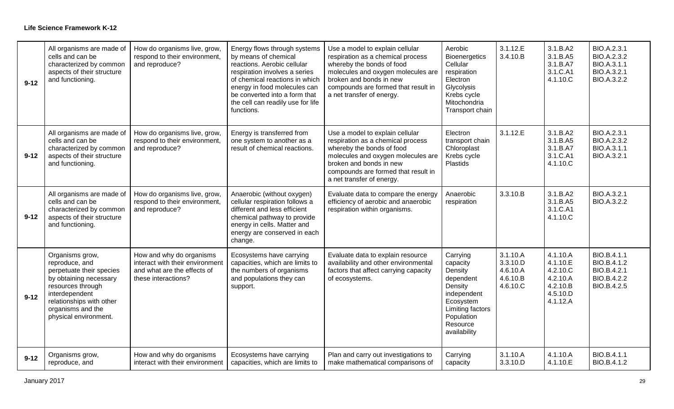| $9 - 12$ | All organisms are made of<br>cells and can be<br>characterized by common<br>aspects of their structure<br>and functioning.                                                                               | How do organisms live, grow,<br>respond to their environment,<br>and reproduce?                                   | Energy flows through systems<br>by means of chemical<br>reactions. Aerobic cellular<br>respiration involves a series<br>of chemical reactions in which<br>energy in food molecules can<br>be converted into a form that<br>the cell can readily use for life<br>functions. | Use a model to explain cellular<br>respiration as a chemical process<br>whereby the bonds of food<br>molecules and oxygen molecules are<br>broken and bonds in new<br>compounds are formed that result in<br>a net transfer of energy. | Aerobic<br><b>Bioenergetics</b><br>Cellular<br>respiration<br>Electron<br>Glycolysis<br>Krebs cycle<br>Mitochondria<br>Transport chain            | 3.1.12.E<br>3.4.10.B                                     | 3.1.B.A2<br>3.1.B.A5<br>3.1.B.A7<br>3.1.C.A1<br>4.1.10.C                         | BIO.A.2.3.1<br>BIO.A.2.3.2<br>BIO.A.3.1.1<br>BIO.A.3.2.1<br>BIO.A.3.2.2 |
|----------|----------------------------------------------------------------------------------------------------------------------------------------------------------------------------------------------------------|-------------------------------------------------------------------------------------------------------------------|----------------------------------------------------------------------------------------------------------------------------------------------------------------------------------------------------------------------------------------------------------------------------|----------------------------------------------------------------------------------------------------------------------------------------------------------------------------------------------------------------------------------------|---------------------------------------------------------------------------------------------------------------------------------------------------|----------------------------------------------------------|----------------------------------------------------------------------------------|-------------------------------------------------------------------------|
| $9 - 12$ | All organisms are made of<br>cells and can be<br>characterized by common<br>aspects of their structure<br>and functioning.                                                                               | How do organisms live, grow,<br>respond to their environment,<br>and reproduce?                                   | Energy is transferred from<br>one system to another as a<br>result of chemical reactions.                                                                                                                                                                                  | Use a model to explain cellular<br>respiration as a chemical process<br>whereby the bonds of food<br>molecules and oxygen molecules are<br>broken and bonds in new<br>compounds are formed that result in<br>a net transfer of energy. | Electron<br>transport chain<br>Chloroplast<br>Krebs cycle<br>Plastids                                                                             | 3.1.12.E                                                 | 3.1.B.A2<br>3.1.B.A5<br>3.1.B.A7<br>3.1.C.A1<br>4.1.10.C                         | BIO.A.2.3.1<br>BIO.A.2.3.2<br>BIO.A.3.1.1<br>BIO.A.3.2.1                |
| $9 - 12$ | All organisms are made of<br>cells and can be<br>characterized by common<br>aspects of their structure<br>and functioning.                                                                               | How do organisms live, grow,<br>respond to their environment,<br>and reproduce?                                   | Anaerobic (without oxygen)<br>cellular respiration follows a<br>different and less efficient<br>chemical pathway to provide<br>energy in cells. Matter and<br>energy are conserved in each<br>change.                                                                      | Evaluate data to compare the energy<br>efficiency of aerobic and anaerobic<br>respiration within organisms.                                                                                                                            | Anaerobic<br>respiration                                                                                                                          | 3.3.10.B                                                 | 3.1.B.A2<br>3.1.B.A5<br>3.1.C.A1<br>4.1.10.C                                     | BIO.A.3.2.1<br>BIO.A.3.2.2                                              |
| $9 - 12$ | Organisms grow,<br>reproduce, and<br>perpetuate their species<br>by obtaining necessary<br>resources through<br>interdependent<br>relationships with other<br>organisms and the<br>physical environment. | How and why do organisms<br>interact with their environment<br>and what are the effects of<br>these interactions? | Ecosystems have carrying<br>capacities, which are limits to<br>the numbers of organisms<br>and populations they can<br>support.                                                                                                                                            | Evaluate data to explain resource<br>availability and other environmental<br>factors that affect carrying capacity<br>of ecosystems.                                                                                                   | Carrying<br>capacity<br>Density<br>dependent<br>Density<br>independent<br>Ecosystem<br>Limiting factors<br>Population<br>Resource<br>availability | 3.1.10.A<br>3.3.10.D<br>4.6.10.A<br>4.6.10.B<br>4.6.10.C | 4.1.10.A<br>4.1.10.E<br>4.2.10.C<br>4.2.10.A<br>4.2.10.B<br>4.5.10.D<br>4.1.12.A | BIO.B.4.1.1<br>BIO.B.4.1.2<br>BIO.B.4.2.1<br>BIO.B.4.2.2<br>BIO.B.4.2.5 |
| $9 - 12$ | Organisms grow,<br>reproduce, and                                                                                                                                                                        | How and why do organisms<br>interact with their environment                                                       | Ecosystems have carrying<br>capacities, which are limits to                                                                                                                                                                                                                | Plan and carry out investigations to<br>make mathematical comparisons of                                                                                                                                                               | Carrying<br>capacity                                                                                                                              | 3.1.10.A<br>3.3.10.D                                     | 4.1.10.A<br>4.1.10.E                                                             | BIO.B.4.1.1<br>BIO.B.4.1.2                                              |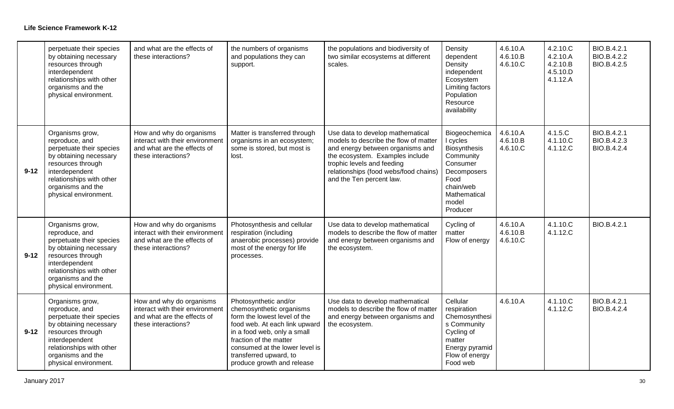|          | perpetuate their species<br>by obtaining necessary<br>resources through<br>interdependent<br>relationships with other<br>organisms and the<br>physical environment.                                      | and what are the effects of<br>these interactions?                                                                | the numbers of organisms<br>and populations they can<br>support.                                                                                                                                                                                                      | the populations and biodiversity of<br>two similar ecosystems at different<br>scales.                                                                                                                                                               | Density<br>dependent<br>Density<br>independent<br>Ecosystem<br>Limiting factors<br>Population<br>Resource<br>availability                   | 4.6.10.A<br>4.6.10.B<br>4.6.10.C | 4.2.10.C<br>4.2.10.A<br>4.2.10.B<br>4.5.10.D<br>4.1.12.A | BIO.B.4.2.1<br>BIO.B.4.2.2<br>BIO.B.4.2.5 |
|----------|----------------------------------------------------------------------------------------------------------------------------------------------------------------------------------------------------------|-------------------------------------------------------------------------------------------------------------------|-----------------------------------------------------------------------------------------------------------------------------------------------------------------------------------------------------------------------------------------------------------------------|-----------------------------------------------------------------------------------------------------------------------------------------------------------------------------------------------------------------------------------------------------|---------------------------------------------------------------------------------------------------------------------------------------------|----------------------------------|----------------------------------------------------------|-------------------------------------------|
| $9 - 12$ | Organisms grow,<br>reproduce, and<br>perpetuate their species<br>by obtaining necessary<br>resources through<br>interdependent<br>relationships with other<br>organisms and the<br>physical environment. | How and why do organisms<br>interact with their environment<br>and what are the effects of<br>these interactions? | Matter is transferred through<br>organisms in an ecosystem;<br>some is stored, but most is<br>lost.                                                                                                                                                                   | Use data to develop mathematical<br>models to describe the flow of matter<br>and energy between organisms and<br>the ecosystem. Examples include<br>trophic levels and feeding<br>relationships (food webs/food chains)<br>and the Ten percent law. | Biogeochemica<br>I cycles<br>Biosynthesis<br>Community<br>Consumer<br>Decomposers<br>Food<br>chain/web<br>Mathematical<br>model<br>Producer | 4.6.10.A<br>4.6.10.B<br>4.6.10.C | 4.1.5.C<br>4.1.10.C<br>4.1.12.C                          | BIO.B.4.2.1<br>BIO.B.4.2.3<br>BIO.B.4.2.4 |
| $9 - 12$ | Organisms grow,<br>reproduce, and<br>perpetuate their species<br>by obtaining necessary<br>resources through<br>interdependent<br>relationships with other<br>organisms and the<br>physical environment. | How and why do organisms<br>interact with their environment<br>and what are the effects of<br>these interactions? | Photosynthesis and cellular<br>respiration (including<br>anaerobic processes) provide<br>most of the energy for life<br>processes.                                                                                                                                    | Use data to develop mathematical<br>models to describe the flow of matter<br>and energy between organisms and<br>the ecosystem.                                                                                                                     | Cycling of<br>matter<br>Flow of energy                                                                                                      | 4.6.10.A<br>4.6.10.B<br>4.6.10.C | 4.1.10.C<br>4.1.12.C                                     | BIO.B.4.2.1                               |
| $9 - 12$ | Organisms grow,<br>reproduce, and<br>perpetuate their species<br>by obtaining necessary<br>resources through<br>interdependent<br>relationships with other<br>organisms and the<br>physical environment. | How and why do organisms<br>interact with their environment<br>and what are the effects of<br>these interactions? | Photosynthetic and/or<br>chemosynthetic organisms<br>form the lowest level of the<br>food web. At each link upward<br>in a food web, only a small<br>fraction of the matter<br>consumed at the lower level is<br>transferred upward, to<br>produce growth and release | Use data to develop mathematical<br>models to describe the flow of matter<br>and energy between organisms and<br>the ecosystem.                                                                                                                     | Cellular<br>respiration<br>Chemosynthesi<br>s Community<br>Cycling of<br>matter<br>Energy pyramid<br>Flow of energy<br>Food web             | 4.6.10.A                         | 4.1.10.C<br>4.1.12.C                                     | BIO.B.4.2.1<br>BIO.B.4.2.4                |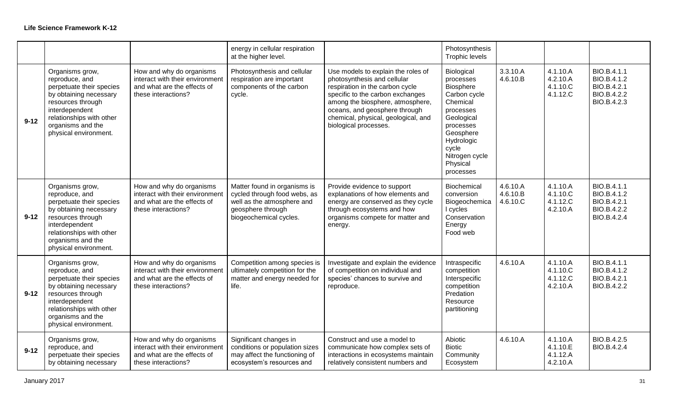|          |                                                                                                                                                                                                          |                                                                                                                   | energy in cellular respiration<br>at the higher level.                                                                                    |                                                                                                                                                                                                                                                                               | Photosynthesis<br>Trophic levels                                                                                                                                                               |                                  |                                              |                                                                         |
|----------|----------------------------------------------------------------------------------------------------------------------------------------------------------------------------------------------------------|-------------------------------------------------------------------------------------------------------------------|-------------------------------------------------------------------------------------------------------------------------------------------|-------------------------------------------------------------------------------------------------------------------------------------------------------------------------------------------------------------------------------------------------------------------------------|------------------------------------------------------------------------------------------------------------------------------------------------------------------------------------------------|----------------------------------|----------------------------------------------|-------------------------------------------------------------------------|
| $9 - 12$ | Organisms grow,<br>reproduce, and<br>perpetuate their species<br>by obtaining necessary<br>resources through<br>interdependent<br>relationships with other<br>organisms and the<br>physical environment. | How and why do organisms<br>interact with their environment<br>and what are the effects of<br>these interactions? | Photosynthesis and cellular<br>respiration are important<br>components of the carbon<br>cycle.                                            | Use models to explain the roles of<br>photosynthesis and cellular<br>respiration in the carbon cycle<br>specific to the carbon exchanges<br>among the biosphere, atmosphere,<br>oceans, and geosphere through<br>chemical, physical, geological, and<br>biological processes. | Biological<br>processes<br><b>Biosphere</b><br>Carbon cycle<br>Chemical<br>processes<br>Geological<br>processes<br>Geosphere<br>Hydrologic<br>cycle<br>Nitrogen cycle<br>Physical<br>processes | 3.3.10.A<br>4.6.10.B             | 4.1.10.A<br>4.2.10.A<br>4.1.10.C<br>4.1.12.C | BIO.B.4.1.1<br>BIO.B.4.1.2<br>BIO.B.4.2.1<br>BIO.B.4.2.2<br>BIO.B.4.2.3 |
| $9 - 12$ | Organisms grow,<br>reproduce, and<br>perpetuate their species<br>by obtaining necessary<br>resources through<br>interdependent<br>relationships with other<br>organisms and the<br>physical environment. | How and why do organisms<br>interact with their environment<br>and what are the effects of<br>these interactions? | Matter found in organisms is<br>cycled through food webs, as<br>well as the atmosphere and<br>geosphere through<br>biogeochemical cycles. | Provide evidence to support<br>explanations of how elements and<br>energy are conserved as they cycle<br>through ecosystems and how<br>organisms compete for matter and<br>energy.                                                                                            | Biochemical<br>conversion<br>Biogeochemica<br>I cycles<br>Conservation<br>Energy<br>Food web                                                                                                   | 4.6.10.A<br>4.6.10.B<br>4.6.10.C | 4.1.10.A<br>4.1.10.C<br>4.1.12.C<br>4.2.10.A | BIO.B.4.1.1<br>BIO.B.4.1.2<br>BIO.B.4.2.1<br>BIO.B.4.2.2<br>BIO.B.4.2.4 |
| $9 - 12$ | Organisms grow,<br>reproduce, and<br>perpetuate their species<br>by obtaining necessary<br>resources through<br>interdependent<br>relationships with other<br>organisms and the<br>physical environment. | How and why do organisms<br>interact with their environment<br>and what are the effects of<br>these interactions? | Competition among species is<br>ultimately competition for the<br>matter and energy needed for<br>life.                                   | Investigate and explain the evidence<br>of competition on individual and<br>species' chances to survive and<br>reproduce.                                                                                                                                                     | Intraspecific<br>competition<br>Interspecific<br>competition<br>Predation<br>Resource<br>partitioning                                                                                          | 4.6.10.A                         | 4.1.10.A<br>4.1.10.C<br>4.1.12.C<br>4.2.10.A | BIO.B.4.1.1<br>BIO.B.4.1.2<br>BIO.B.4.2.1<br>BIO.B.4.2.2                |
| $9 - 12$ | Organisms grow,<br>reproduce, and<br>perpetuate their species<br>by obtaining necessary                                                                                                                  | How and why do organisms<br>interact with their environment<br>and what are the effects of<br>these interactions? | Significant changes in<br>conditions or population sizes<br>may affect the functioning of<br>ecosystem's resources and                    | Construct and use a model to<br>communicate how complex sets of<br>interactions in ecosystems maintain<br>relatively consistent numbers and                                                                                                                                   | Abiotic<br><b>Biotic</b><br>Community<br>Ecosystem                                                                                                                                             | 4.6.10.A                         | 4.1.10.A<br>4.1.10.E<br>4.1.12.A<br>4.2.10.A | BIO.B.4.2.5<br>BIO.B.4.2.4                                              |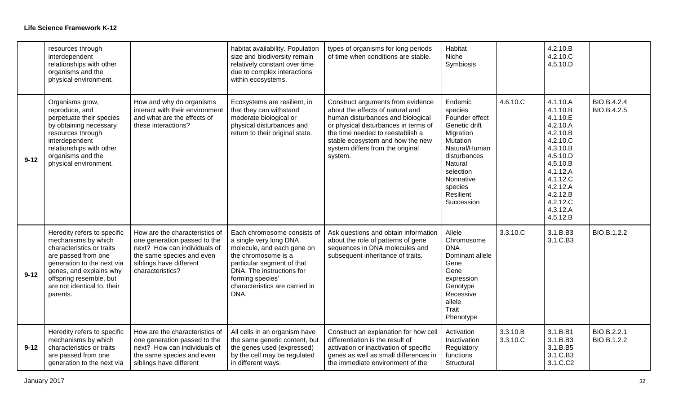|          | resources through<br>interdependent<br>relationships with other<br>organisms and the<br>physical environment.                                                                                                                         |                                                                                                                                                                            | habitat availability. Population<br>size and biodiversity remain<br>relatively constant over time<br>due to complex interactions<br>within ecosystems.                                                                              | types of organisms for long periods<br>of time when conditions are stable.                                                                                                                                                                                                | Habitat<br>Niche<br>Symbiosis                                                                                                                                                                            |                      | 4.2.10.B<br>4.2.10.C<br>4.5.10.D                                                                                                                                                             |                            |
|----------|---------------------------------------------------------------------------------------------------------------------------------------------------------------------------------------------------------------------------------------|----------------------------------------------------------------------------------------------------------------------------------------------------------------------------|-------------------------------------------------------------------------------------------------------------------------------------------------------------------------------------------------------------------------------------|---------------------------------------------------------------------------------------------------------------------------------------------------------------------------------------------------------------------------------------------------------------------------|----------------------------------------------------------------------------------------------------------------------------------------------------------------------------------------------------------|----------------------|----------------------------------------------------------------------------------------------------------------------------------------------------------------------------------------------|----------------------------|
| $9 - 12$ | Organisms grow,<br>reproduce, and<br>perpetuate their species<br>by obtaining necessary<br>resources through<br>interdependent<br>relationships with other<br>organisms and the<br>physical environment.                              | How and why do organisms<br>interact with their environment<br>and what are the effects of<br>these interactions?                                                          | Ecosystems are resilient, in<br>that they can withstand<br>moderate biological or<br>physical disturbances and<br>return to their original state.                                                                                   | Construct arguments from evidence<br>about the effects of natural and<br>human disturbances and biological<br>or physical disturbances in terms of<br>the time needed to reestablish a<br>stable ecosystem and how the new<br>system differs from the original<br>system. | Endemic<br>species<br>Founder effect<br>Genetic drift<br>Migration<br><b>Mutation</b><br>Natural/Human<br>disturbances<br><b>Natural</b><br>selection<br>Nonnative<br>species<br>Resilient<br>Succession | 4.6.10.C             | 4.1.10.A<br>4.1.10.B<br>4.1.10.E<br>4.2.10.A<br>4.2.10.B<br>4.2.10.C<br>4.3.10.B<br>4.5.10.D<br>4.5.10.B<br>4.1.12.A<br>4.1.12.C<br>4.2.12.A<br>4.2.12.B<br>4.2.12.C<br>4.3.12.A<br>4.5.12.B | BIO.B.4.2.4<br>BIO.B.4.2.5 |
| $9 - 12$ | Heredity refers to specific<br>mechanisms by which<br>characteristics or traits<br>are passed from one<br>generation to the next via<br>genes, and explains why<br>offspring resemble, but<br>are not identical to, their<br>parents. | How are the characteristics of<br>one generation passed to the<br>next? How can individuals of<br>the same species and even<br>siblings have different<br>characteristics? | Each chromosome consists of<br>a single very long DNA<br>molecule, and each gene on<br>the chromosome is a<br>particular segment of that<br>DNA. The instructions for<br>forming species'<br>characteristics are carried in<br>DNA. | Ask questions and obtain information<br>about the role of patterns of gene<br>sequences in DNA molecules and<br>subsequent inheritance of traits.                                                                                                                         | Allele<br>Chromosome<br><b>DNA</b><br>Dominant allele<br>Gene<br>Gene<br>expression<br>Genotype<br>Recessive<br>allele<br>Trait<br>Phenotype                                                             | 3.3.10.C             | 3.1.B.B3<br>3.1.C.B3                                                                                                                                                                         | BIO.B.1.2.2                |
| $9 - 12$ | Heredity refers to specific<br>mechanisms by which<br>characteristics or traits<br>are passed from one<br>generation to the next via                                                                                                  | How are the characteristics of<br>one generation passed to the<br>next? How can individuals of<br>the same species and even<br>siblings have different                     | All cells in an organism have<br>the same genetic content, but<br>the genes used (expressed)<br>by the cell may be regulated<br>in different ways.                                                                                  | Construct an explanation for how cell<br>differentiation is the result of<br>activation or inactivation of specific<br>genes as well as small differences in<br>the immediate environment of the                                                                          | Activation<br>Inactivation<br>Regulatory<br>functions<br>Structural                                                                                                                                      | 3.3.10.B<br>3.3.10.C | 3.1.B.B1<br>3.1.B.B3<br>3.1.B.B5<br>3.1.C.B3<br>3.1.C.C2                                                                                                                                     | BIO.B.2.2.1<br>BIO.B.1.2.2 |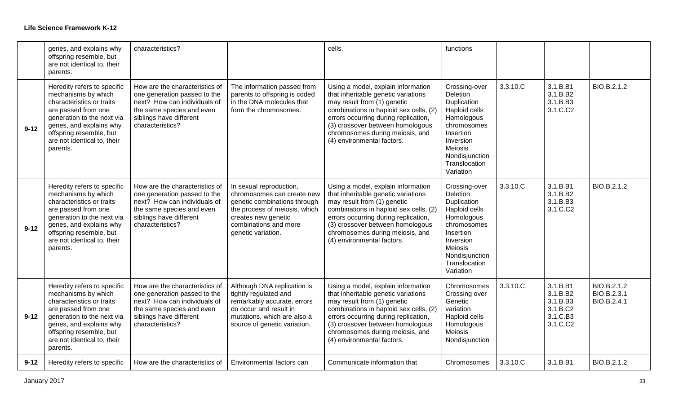|          | genes, and explains why<br>offspring resemble, but<br>are not identical to, their<br>parents.                                                                                                                                         | characteristics?                                                                                                                                                           |                                                                                                                                                                                              | cells.                                                                                                                                                                                                                                                                                          | functions                                                                                                                                                                          |          |                                                                      |                                           |
|----------|---------------------------------------------------------------------------------------------------------------------------------------------------------------------------------------------------------------------------------------|----------------------------------------------------------------------------------------------------------------------------------------------------------------------------|----------------------------------------------------------------------------------------------------------------------------------------------------------------------------------------------|-------------------------------------------------------------------------------------------------------------------------------------------------------------------------------------------------------------------------------------------------------------------------------------------------|------------------------------------------------------------------------------------------------------------------------------------------------------------------------------------|----------|----------------------------------------------------------------------|-------------------------------------------|
| $9 - 12$ | Heredity refers to specific<br>mechanisms by which<br>characteristics or traits<br>are passed from one<br>generation to the next via<br>genes, and explains why<br>offspring resemble, but<br>are not identical to, their<br>parents. | How are the characteristics of<br>one generation passed to the<br>next? How can individuals of<br>the same species and even<br>siblings have different<br>characteristics? | The information passed from<br>parents to offspring is coded<br>in the DNA molecules that<br>form the chromosomes.                                                                           | Using a model, explain information<br>that inheritable genetic variations<br>may result from (1) genetic<br>combinations in haploid sex cells, (2)<br>errors occurring during replication,<br>(3) crossover between homologous<br>chromosomes during meiosis, and<br>(4) environmental factors. | Crossing-over<br>Deletion<br>Duplication<br>Haploid cells<br>Homologous<br>chromosomes<br>Insertion<br>Inversion<br><b>Meiosis</b><br>Nondisjunction<br>Translocation<br>Variation | 3.3.10.C | 3.1.B.B1<br>3.1.B.B2<br>3.1.B.B3<br>3.1.C.C2                         | BIO.B.2.1.2                               |
| $9 - 12$ | Heredity refers to specific<br>mechanisms by which<br>characteristics or traits<br>are passed from one<br>generation to the next via<br>genes, and explains why<br>offspring resemble, but<br>are not identical to, their<br>parents. | How are the characteristics of<br>one generation passed to the<br>next? How can individuals of<br>the same species and even<br>siblings have different<br>characteristics? | In sexual reproduction,<br>chromosomes can create new<br>genetic combinations through<br>the process of meiosis, which<br>creates new genetic<br>combinations and more<br>genetic variation. | Using a model, explain information<br>that inheritable genetic variations<br>may result from (1) genetic<br>combinations in haploid sex cells, (2)<br>errors occurring during replication,<br>(3) crossover between homologous<br>chromosomes during meiosis, and<br>(4) environmental factors. | Crossing-over<br>Deletion<br>Duplication<br>Haploid cells<br>Homologous<br>chromosomes<br>Insertion<br>Inversion<br>Meiosis<br>Nondisjunction<br>Translocation<br>Variation        | 3.3.10.C | 3.1.B.B1<br>3.1.B.B2<br>3.1.B.B3<br>3.1.C.C2                         | BIO.B.2.1.2                               |
| $9 - 12$ | Heredity refers to specific<br>mechanisms by which<br>characteristics or traits<br>are passed from one<br>generation to the next via<br>genes, and explains why<br>offspring resemble, but<br>are not identical to, their<br>parents. | How are the characteristics of<br>one generation passed to the<br>next? How can individuals of<br>the same species and even<br>siblings have different<br>characteristics? | Although DNA replication is<br>tightly regulated and<br>remarkably accurate, errors<br>do occur and result in<br>mutations, which are also a<br>source of genetic variation.                 | Using a model, explain information<br>that inheritable genetic variations<br>may result from (1) genetic<br>combinations in haploid sex cells, (2)<br>errors occurring during replication,<br>(3) crossover between homologous<br>chromosomes during meiosis, and<br>(4) environmental factors. | Chromosomes<br>Crossing over<br>Genetic<br>variation<br>Haploid cells<br>Homologous<br><b>Meiosis</b><br>Nondisjunction                                                            | 3.3.10.C | 3.1.B.B1<br>3.1.B.B2<br>3.1.B.B3<br>3.1.B.C2<br>3.1.C.B3<br>3.1.C.C2 | BIO.B.2.1.2<br>BIO.B.2.3.1<br>BIO.B.2.4.1 |
| $9 - 12$ | Heredity refers to specific                                                                                                                                                                                                           | How are the characteristics of                                                                                                                                             | Environmental factors can                                                                                                                                                                    | Communicate information that                                                                                                                                                                                                                                                                    | Chromosomes                                                                                                                                                                        | 3.3.10.C | 3.1.B.B1                                                             | BIO.B.2.1.2                               |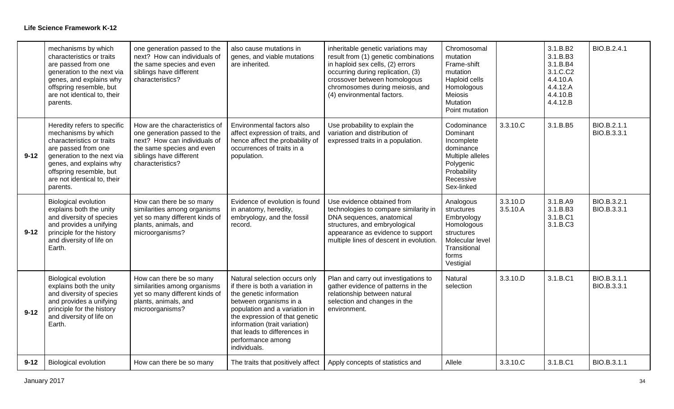|          | mechanisms by which<br>characteristics or traits<br>are passed from one<br>generation to the next via<br>genes, and explains why<br>offspring resemble, but<br>are not identical to, their<br>parents.                                | one generation passed to the<br>next? How can individuals of<br>the same species and even<br>siblings have different<br>characteristics?                                   | also cause mutations in<br>genes, and viable mutations<br>are inherited.                                                                                                                                                                                                                       | inheritable genetic variations may<br>result from (1) genetic combinations<br>in haploid sex cells, (2) errors<br>occurring during replication, (3)<br>crossover between homologous<br>chromosomes during meiosis, and<br>(4) environmental factors. | Chromosomal<br>mutation<br>Frame-shift<br>mutation<br>Haploid cells<br>Homologous<br>Meiosis<br>Mutation<br>Point mutation    |                      | 3.1.B.B2<br>3.1.B.B3<br>3.1.B.B4<br>3.1.C.C2<br>4.4.10.A<br>4.4.12.A<br>4.4.10.B<br>4.4.12.B | BIO.B.2.4.1                |
|----------|---------------------------------------------------------------------------------------------------------------------------------------------------------------------------------------------------------------------------------------|----------------------------------------------------------------------------------------------------------------------------------------------------------------------------|------------------------------------------------------------------------------------------------------------------------------------------------------------------------------------------------------------------------------------------------------------------------------------------------|------------------------------------------------------------------------------------------------------------------------------------------------------------------------------------------------------------------------------------------------------|-------------------------------------------------------------------------------------------------------------------------------|----------------------|----------------------------------------------------------------------------------------------|----------------------------|
| $9 - 12$ | Heredity refers to specific<br>mechanisms by which<br>characteristics or traits<br>are passed from one<br>generation to the next via<br>genes, and explains why<br>offspring resemble, but<br>are not identical to, their<br>parents. | How are the characteristics of<br>one generation passed to the<br>next? How can individuals of<br>the same species and even<br>siblings have different<br>characteristics? | Environmental factors also<br>affect expression of traits, and<br>hence affect the probability of<br>occurrences of traits in a<br>population.                                                                                                                                                 | Use probability to explain the<br>variation and distribution of<br>expressed traits in a population.                                                                                                                                                 | Codominance<br>Dominant<br>Incomplete<br>dominance<br>Multiple alleles<br>Polygenic<br>Probability<br>Recessive<br>Sex-linked | 3.3.10.C             | 3.1.B.B5                                                                                     | BIO.B.2.1.1<br>BIO.B.3.3.1 |
| $9 - 12$ | <b>Biological evolution</b><br>explains both the unity<br>and diversity of species<br>and provides a unifying<br>principle for the history<br>and diversity of life on<br>Earth.                                                      | How can there be so many<br>similarities among organisms<br>yet so many different kinds of<br>plants, animals, and<br>microorganisms?                                      | Evidence of evolution is found<br>in anatomy, heredity,<br>embryology, and the fossil<br>record.                                                                                                                                                                                               | Use evidence obtained from<br>technologies to compare similarity in<br>DNA sequences, anatomical<br>structures, and embryological<br>appearance as evidence to support<br>multiple lines of descent in evolution.                                    | Analogous<br>structures<br>Embryology<br>Homologous<br>structures<br>Molecular level<br>Transitional<br>forms<br>Vestigial    | 3.3.10.D<br>3.5.10.A | 3.1.B.A9<br>3.1.B.B3<br>3.1.B.C1<br>3.1.B.C3                                                 | BIO.B.3.2.1<br>BIO.B.3.3.1 |
| $9 - 12$ | <b>Biological evolution</b><br>explains both the unity<br>and diversity of species<br>and provides a unifying<br>principle for the history<br>and diversity of life on<br>Earth.                                                      | How can there be so many<br>similarities among organisms<br>yet so many different kinds of<br>plants, animals, and<br>microorganisms?                                      | Natural selection occurs only<br>if there is both a variation in<br>the genetic information<br>between organisms in a<br>population and a variation in<br>the expression of that genetic<br>information (trait variation)<br>that leads to differences in<br>performance among<br>individuals. | Plan and carry out investigations to<br>gather evidence of patterns in the<br>relationship between natural<br>selection and changes in the<br>environment.                                                                                           | Natural<br>selection                                                                                                          | 3.3.10.D             | 3.1.B.C1                                                                                     | BIO.B.3.1.1<br>BIO.B.3.3.1 |
| $9 - 12$ | <b>Biological evolution</b>                                                                                                                                                                                                           | How can there be so many                                                                                                                                                   | The traits that positively affect                                                                                                                                                                                                                                                              | Apply concepts of statistics and                                                                                                                                                                                                                     | Allele                                                                                                                        | 3.3.10.C             | 3.1.B.C1                                                                                     | BIO.B.3.1.1                |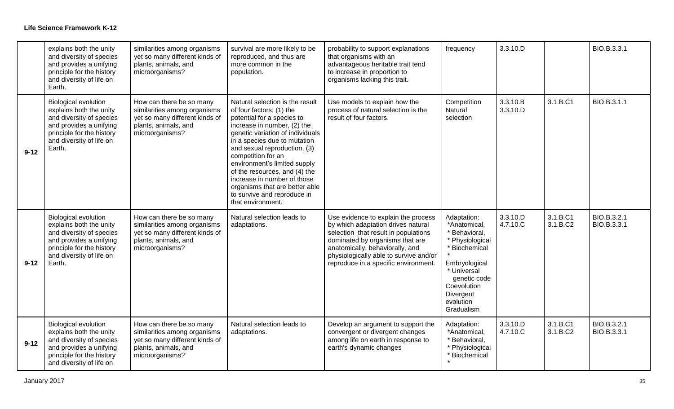|          | explains both the unity<br>and diversity of species<br>and provides a unifying<br>principle for the history<br>and diversity of life on<br>Earth.                                | similarities among organisms<br>yet so many different kinds of<br>plants, animals, and<br>microorganisms?                             | survival are more likely to be<br>reproduced, and thus are<br>more common in the<br>population.                                                                                                                                                                                                                                                                                                                                          | probability to support explanations<br>that organisms with an<br>advantageous heritable trait tend<br>to increase in proportion to<br>organisms lacking this trait.                                                                                                       | frequency                                                                                                                                                                               | 3.3.10.D             |                      | BIO.B.3.3.1                |
|----------|----------------------------------------------------------------------------------------------------------------------------------------------------------------------------------|---------------------------------------------------------------------------------------------------------------------------------------|------------------------------------------------------------------------------------------------------------------------------------------------------------------------------------------------------------------------------------------------------------------------------------------------------------------------------------------------------------------------------------------------------------------------------------------|---------------------------------------------------------------------------------------------------------------------------------------------------------------------------------------------------------------------------------------------------------------------------|-----------------------------------------------------------------------------------------------------------------------------------------------------------------------------------------|----------------------|----------------------|----------------------------|
| $9 - 12$ | <b>Biological evolution</b><br>explains both the unity<br>and diversity of species<br>and provides a unifying<br>principle for the history<br>and diversity of life on<br>Earth. | How can there be so many<br>similarities among organisms<br>yet so many different kinds of<br>plants, animals, and<br>microorganisms? | Natural selection is the result<br>of four factors: (1) the<br>potential for a species to<br>increase in number, (2) the<br>genetic variation of individuals<br>in a species due to mutation<br>and sexual reproduction, (3)<br>competition for an<br>environment's limited supply<br>of the resources, and (4) the<br>increase in number of those<br>organisms that are better able<br>to survive and reproduce in<br>that environment. | Use models to explain how the<br>process of natural selection is the<br>result of four factors.                                                                                                                                                                           | Competition<br>Natural<br>selection                                                                                                                                                     | 3.3.10.B<br>3.3.10.D | 3.1.B.C1             | BIO.B.3.1.1                |
| $9 - 12$ | <b>Biological evolution</b><br>explains both the unity<br>and diversity of species<br>and provides a unifying<br>principle for the history<br>and diversity of life on<br>Earth. | How can there be so many<br>similarities among organisms<br>yet so many different kinds of<br>plants, animals, and<br>microorganisms? | Natural selection leads to<br>adaptations.                                                                                                                                                                                                                                                                                                                                                                                               | Use evidence to explain the process<br>by which adaptation drives natural<br>selection that result in populations<br>dominated by organisms that are<br>anatomically, behaviorally, and<br>physiologically able to survive and/or<br>reproduce in a specific environment. | Adaptation:<br>*Anatomical,<br>* Behavioral,<br>* Physiological<br>* Biochemical<br>Embryological<br>* Universal<br>genetic code<br>Coevolution<br>Divergent<br>evolution<br>Gradualism | 3.3.10.D<br>4.7.10.C | 3.1.B.C1<br>3.1.B.C2 | BIO.B.3.2.1<br>BIO.B.3.3.1 |
| $9 - 12$ | <b>Biological evolution</b><br>explains both the unity<br>and diversity of species<br>and provides a unifying<br>principle for the history<br>and diversity of life on           | How can there be so many<br>similarities among organisms<br>yet so many different kinds of<br>plants, animals, and<br>microorganisms? | Natural selection leads to<br>adaptations.                                                                                                                                                                                                                                                                                                                                                                                               | Develop an argument to support the<br>convergent or divergent changes<br>among life on earth in response to<br>earth's dynamic changes                                                                                                                                    | Adaptation:<br>*Anatomical,<br>* Behavioral,<br>* Physiological<br>* Biochemical                                                                                                        | 3.3.10.D<br>4.7.10.C | 3.1.B.C1<br>3.1.B.C2 | BIO.B.3.2.1<br>BIO.B.3.3.1 |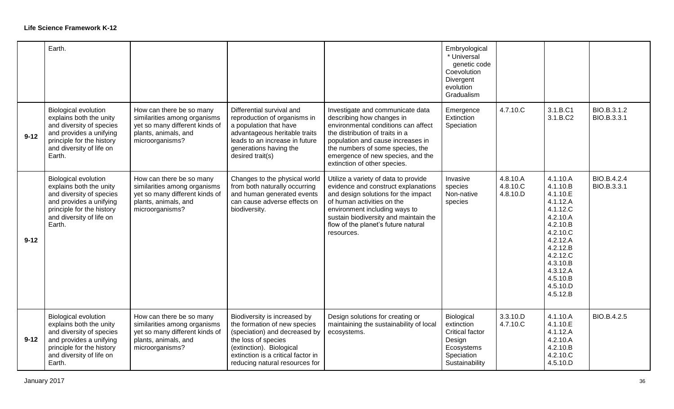|          | Earth.                                                                                                                                                                           |                                                                                                                                       |                                                                                                                                                                                                                          |                                                                                                                                                                                                                                                                                       | Embryological<br>* Universal<br>genetic code<br>Coevolution<br>Divergent<br>evolution<br>Gradualism        |                                  |                                                                                                                                                                                              |                            |
|----------|----------------------------------------------------------------------------------------------------------------------------------------------------------------------------------|---------------------------------------------------------------------------------------------------------------------------------------|--------------------------------------------------------------------------------------------------------------------------------------------------------------------------------------------------------------------------|---------------------------------------------------------------------------------------------------------------------------------------------------------------------------------------------------------------------------------------------------------------------------------------|------------------------------------------------------------------------------------------------------------|----------------------------------|----------------------------------------------------------------------------------------------------------------------------------------------------------------------------------------------|----------------------------|
| $9 - 12$ | <b>Biological evolution</b><br>explains both the unity<br>and diversity of species<br>and provides a unifying<br>principle for the history<br>and diversity of life on<br>Earth. | How can there be so many<br>similarities among organisms<br>yet so many different kinds of<br>plants, animals, and<br>microorganisms? | Differential survival and<br>reproduction of organisms in<br>a population that have<br>advantageous heritable traits<br>leads to an increase in future<br>generations having the<br>desired trait(s)                     | Investigate and communicate data<br>describing how changes in<br>environmental conditions can affect<br>the distribution of traits in a<br>population and cause increases in<br>the numbers of some species, the<br>emergence of new species, and the<br>extinction of other species. | Emergence<br>Extinction<br>Speciation                                                                      | 4.7.10.C                         | 3.1.B.C1<br>3.1.B.C2                                                                                                                                                                         | BIO.B.3.1.2<br>BIO.B.3.3.1 |
| $9 - 12$ | <b>Biological evolution</b><br>explains both the unity<br>and diversity of species<br>and provides a unifying<br>principle for the history<br>and diversity of life on<br>Earth. | How can there be so many<br>similarities among organisms<br>yet so many different kinds of<br>plants, animals, and<br>microorganisms? | Changes to the physical world<br>from both naturally occurring<br>and human generated events<br>can cause adverse effects on<br>biodiversity.                                                                            | Utilize a variety of data to provide<br>evidence and construct explanations<br>and design solutions for the impact<br>of human activities on the<br>environment including ways to<br>sustain biodiversity and maintain the<br>flow of the planet's future natural<br>resources.       | Invasive<br>species<br>Non-native<br>species                                                               | 4.8.10.A<br>4.8.10.C<br>4.8.10.D | 4.1.10.A<br>4.1.10.B<br>4.1.10.E<br>4.1.12.A<br>4.1.12.C<br>4.2.10.A<br>4.2.10.B<br>4.2.10.C<br>4.2.12.A<br>4.2.12.B<br>4.2.12.C<br>4.3.10.B<br>4.3.12.A<br>4.5.10.B<br>4.5.10.D<br>4.5.12.B | BIO.B.4.2.4<br>BIO.B.3.3.1 |
| $9 - 12$ | <b>Biological evolution</b><br>explains both the unity<br>and diversity of species<br>and provides a unifying<br>principle for the history<br>and diversity of life on<br>Earth. | How can there be so many<br>similarities among organisms<br>yet so many different kinds of<br>plants, animals, and<br>microorganisms? | Biodiversity is increased by<br>the formation of new species<br>(speciation) and decreased by<br>the loss of species<br>(extinction). Biological<br>extinction is a critical factor in<br>reducing natural resources for | Design solutions for creating or<br>maintaining the sustainability of local<br>ecosystems.                                                                                                                                                                                            | Biological<br>extinction<br><b>Critical factor</b><br>Design<br>Ecosystems<br>Speciation<br>Sustainability | 3.3.10.D<br>4.7.10.C             | 4.1.10.A<br>4.1.10.E<br>4.1.12.A<br>4.2.10.A<br>4.2.10.B<br>4.2.10.C<br>4.5.10.D                                                                                                             | BIO.B.4.2.5                |